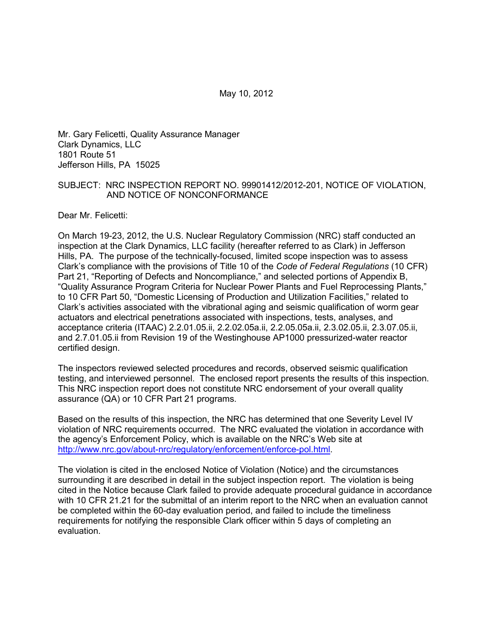Mr. Gary Felicetti, Quality Assurance Manager Clark Dynamics, LLC 1801 Route 51 Jefferson Hills, PA 15025

#### SUBJECT: NRC INSPECTION REPORT NO. 99901412/2012-201, NOTICE OF VIOLATION, AND NOTICE OF NONCONFORMANCE

Dear Mr. Felicetti:

On March 19-23, 2012, the U.S. Nuclear Regulatory Commission (NRC) staff conducted an inspection at the Clark Dynamics, LLC facility (hereafter referred to as Clark) in Jefferson Hills, PA. The purpose of the technically-focused, limited scope inspection was to assess Clark's compliance with the provisions of Title 10 of the *Code of Federal Regulations* (10 CFR) Part 21, "Reporting of Defects and Noncompliance," and selected portions of Appendix B, "Quality Assurance Program Criteria for Nuclear Power Plants and Fuel Reprocessing Plants," to 10 CFR Part 50, "Domestic Licensing of Production and Utilization Facilities," related to Clark's activities associated with the vibrational aging and seismic qualification of worm gear actuators and electrical penetrations associated with inspections, tests, analyses, and acceptance criteria (ITAAC) 2.2.01.05.ii, 2.2.02.05a.ii, 2.2.05.05a.ii, 2.3.02.05.ii, 2.3.07.05.ii, and 2.7.01.05.ii from Revision 19 of the Westinghouse AP1000 pressurized-water reactor certified design.

The inspectors reviewed selected procedures and records, observed seismic qualification testing, and interviewed personnel. The enclosed report presents the results of this inspection. This NRC inspection report does not constitute NRC endorsement of your overall quality assurance (QA) or 10 CFR Part 21 programs.

Based on the results of this inspection, the NRC has determined that one Severity Level IV violation of NRC requirements occurred. The NRC evaluated the violation in accordance with the agency's Enforcement Policy, which is available on the NRC's Web site at http://www.nrc.gov/about-nrc/regulatory/enforcement/enforce-pol.html.

The violation is cited in the enclosed Notice of Violation (Notice) and the circumstances surrounding it are described in detail in the subject inspection report. The violation is being cited in the Notice because Clark failed to provide adequate procedural guidance in accordance with 10 CFR 21.21 for the submittal of an interim report to the NRC when an evaluation cannot be completed within the 60-day evaluation period, and failed to include the timeliness requirements for notifying the responsible Clark officer within 5 days of completing an evaluation.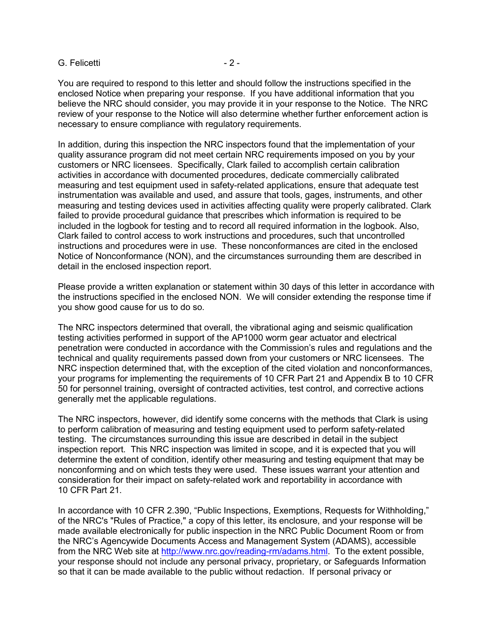#### G. Felicetti and a set of the set of the set of the set of the set of the set of the set of the set of the set of the set of the set of the set of the set of the set of the set of the set of the set of the set of the set o

You are required to respond to this letter and should follow the instructions specified in the enclosed Notice when preparing your response. If you have additional information that you believe the NRC should consider, you may provide it in your response to the Notice. The NRC review of your response to the Notice will also determine whether further enforcement action is necessary to ensure compliance with regulatory requirements.

In addition, during this inspection the NRC inspectors found that the implementation of your quality assurance program did not meet certain NRC requirements imposed on you by your customers or NRC licensees. Specifically, Clark failed to accomplish certain calibration activities in accordance with documented procedures, dedicate commercially calibrated measuring and test equipment used in safety-related applications, ensure that adequate test instrumentation was available and used, and assure that tools, gages, instruments, and other measuring and testing devices used in activities affecting quality were properly calibrated. Clark failed to provide procedural guidance that prescribes which information is required to be included in the logbook for testing and to record all required information in the logbook. Also, Clark failed to control access to work instructions and procedures, such that uncontrolled instructions and procedures were in use. These nonconformances are cited in the enclosed Notice of Nonconformance (NON), and the circumstances surrounding them are described in detail in the enclosed inspection report.

Please provide a written explanation or statement within 30 days of this letter in accordance with the instructions specified in the enclosed NON. We will consider extending the response time if you show good cause for us to do so.

The NRC inspectors determined that overall, the vibrational aging and seismic qualification testing activities performed in support of the AP1000 worm gear actuator and electrical penetration were conducted in accordance with the Commission's rules and regulations and the technical and quality requirements passed down from your customers or NRC licensees. The NRC inspection determined that, with the exception of the cited violation and nonconformances, your programs for implementing the requirements of 10 CFR Part 21 and Appendix B to 10 CFR 50 for personnel training, oversight of contracted activities, test control, and corrective actions generally met the applicable regulations.

The NRC inspectors, however, did identify some concerns with the methods that Clark is using to perform calibration of measuring and testing equipment used to perform safety-related testing. The circumstances surrounding this issue are described in detail in the subject inspection report. This NRC inspection was limited in scope, and it is expected that you will determine the extent of condition, identify other measuring and testing equipment that may be nonconforming and on which tests they were used. These issues warrant your attention and consideration for their impact on safety-related work and reportability in accordance with 10 CFR Part 21.

In accordance with 10 CFR 2.390, "Public Inspections, Exemptions, Requests for Withholding," of the NRC's "Rules of Practice," a copy of this letter, its enclosure, and your response will be made available electronically for public inspection in the NRC Public Document Room or from the NRC's Agencywide Documents Access and Management System (ADAMS), accessible from the NRC Web site at http://www.nrc.gov/reading-rm/adams.html. To the extent possible, your response should not include any personal privacy, proprietary, or Safeguards Information so that it can be made available to the public without redaction. If personal privacy or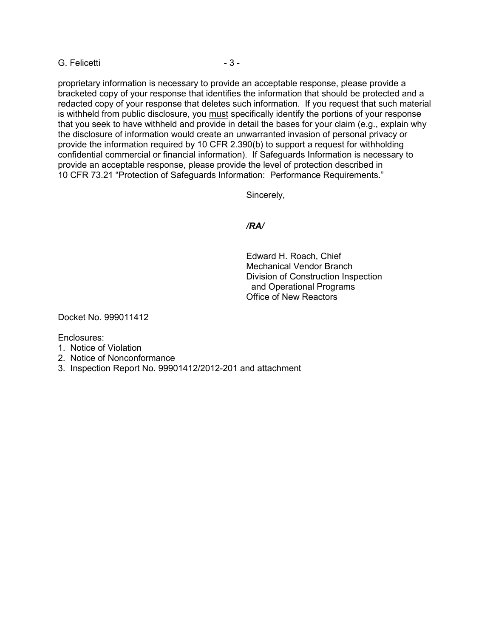G. Felicetti and a state of  $\sim$  3 -

proprietary information is necessary to provide an acceptable response, please provide a bracketed copy of your response that identifies the information that should be protected and a redacted copy of your response that deletes such information. If you request that such material is withheld from public disclosure, you must specifically identify the portions of your response that you seek to have withheld and provide in detail the bases for your claim (e.g., explain why the disclosure of information would create an unwarranted invasion of personal privacy or provide the information required by 10 CFR 2.390(b) to support a request for withholding confidential commercial or financial information). If Safeguards Information is necessary to provide an acceptable response, please provide the level of protection described in 10 CFR 73.21 "Protection of Safeguards Information: Performance Requirements."

Sincerely,

## */RA/*

Edward H. Roach, Chief Mechanical Vendor Branch Division of Construction Inspection and Operational Programs Office of New Reactors

Docket No. 999011412

Enclosures:

- 1. Notice of Violation
- 2. Notice of Nonconformance
- 3. Inspection Report No. 99901412/2012-201 and attachment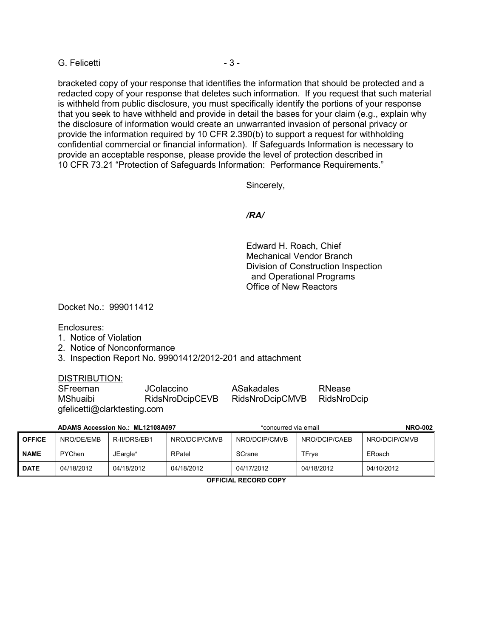G. Felicetti and a state of  $\sim$  3 -

bracketed copy of your response that identifies the information that should be protected and a redacted copy of your response that deletes such information. If you request that such material is withheld from public disclosure, you must specifically identify the portions of your response that you seek to have withheld and provide in detail the bases for your claim (e.g., explain why the disclosure of information would create an unwarranted invasion of personal privacy or provide the information required by 10 CFR 2.390(b) to support a request for withholding confidential commercial or financial information). If Safeguards Information is necessary to provide an acceptable response, please provide the level of protection described in 10 CFR 73.21 "Protection of Safeguards Information: Performance Requirements."

Sincerely,

#### */RA/*

Edward H. Roach, Chief Mechanical Vendor Branch Division of Construction Inspection and Operational Programs Office of New Reactors

Docket No.: 999011412

Enclosures:

- 1. Notice of Violation
- 2. Notice of Nonconformance
- 3. Inspection Report No. 99901412/2012-201 and attachment

#### DISTRIBUTION:

| SFreeman                    | <b>JColaccino</b> | ASakadales      | RNease      |  |
|-----------------------------|-------------------|-----------------|-------------|--|
| MShuaibi                    | RidsNroDcipCEVB   | RidsNroDcipCMVB | RidsNroDcip |  |
| gfelicetti@clarktesting.com |                   |                 |             |  |

| ADAMS Accession No.: ML12108A097 |            |              | *concurred via email |               | <b>NRO-002</b> |               |
|----------------------------------|------------|--------------|----------------------|---------------|----------------|---------------|
| <b>OFFICE</b>                    | NRO/DE/EMB | R-II/DRS/EB1 | NRO/DCIP/CMVB        | NRO/DCIP/CMVB | NRO/DCIP/CAEB  | NRO/DCIP/CMVB |
| <b>NAME</b>                      | PYChen     | JEargle*     | RPatel               | SCrane        | TFrve          | ERoach        |
| <b>DATE</b>                      | 04/18/2012 | 04/18/2012   | 04/18/2012           | 04/17/2012    | 04/18/2012     | 04/10/2012    |

**OFFICIAL RECORD COPY**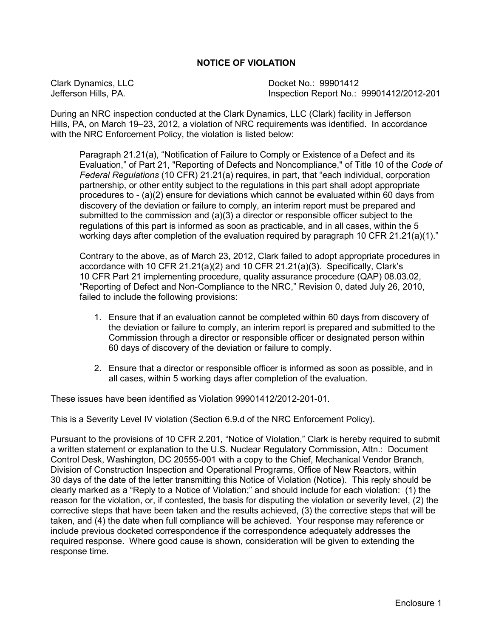## **NOTICE OF VIOLATION**

Clark Dynamics, LLC Docket No.: 99901412 Inspection Report No.: 99901412/2012-201

During an NRC inspection conducted at the Clark Dynamics, LLC (Clark) facility in Jefferson Hills, PA, on March 19–23, 2012, a violation of NRC requirements was identified. In accordance with the NRC Enforcement Policy, the violation is listed below:

Paragraph 21.21(a), "Notification of Failure to Comply or Existence of a Defect and its Evaluation," of Part 21, "Reporting of Defects and Noncompliance," of Title 10 of the *Code of Federal Regulations* (10 CFR) 21.21(a) requires, in part, that "each individual, corporation partnership, or other entity subject to the regulations in this part shall adopt appropriate procedures to - (a)(2) ensure for deviations which cannot be evaluated within 60 days from discovery of the deviation or failure to comply, an interim report must be prepared and submitted to the commission and (a)(3) a director or responsible officer subject to the regulations of this part is informed as soon as practicable, and in all cases, within the 5 working days after completion of the evaluation required by paragraph 10 CFR 21.21(a)(1)."

Contrary to the above, as of March 23, 2012, Clark failed to adopt appropriate procedures in accordance with 10 CFR 21.21(a)(2) and 10 CFR 21.21(a)(3). Specifically, Clark's 10 CFR Part 21 implementing procedure, quality assurance procedure (QAP) 08.03.02, "Reporting of Defect and Non-Compliance to the NRC," Revision 0, dated July 26, 2010, failed to include the following provisions:

- 1. Ensure that if an evaluation cannot be completed within 60 days from discovery of the deviation or failure to comply, an interim report is prepared and submitted to the Commission through a director or responsible officer or designated person within 60 days of discovery of the deviation or failure to comply.
- 2. Ensure that a director or responsible officer is informed as soon as possible, and in all cases, within 5 working days after completion of the evaluation.

These issues have been identified as Violation 99901412/2012-201-01.

This is a Severity Level IV violation (Section 6.9.d of the NRC Enforcement Policy).

Pursuant to the provisions of 10 CFR 2.201, "Notice of Violation," Clark is hereby required to submit a written statement or explanation to the U.S. Nuclear Regulatory Commission, Attn.: Document Control Desk, Washington, DC 20555-001 with a copy to the Chief, Mechanical Vendor Branch, Division of Construction Inspection and Operational Programs, Office of New Reactors, within 30 days of the date of the letter transmitting this Notice of Violation (Notice). This reply should be clearly marked as a "Reply to a Notice of Violation;" and should include for each violation: (1) the reason for the violation, or, if contested, the basis for disputing the violation or severity level, (2) the corrective steps that have been taken and the results achieved, (3) the corrective steps that will be taken, and (4) the date when full compliance will be achieved. Your response may reference or include previous docketed correspondence if the correspondence adequately addresses the required response. Where good cause is shown, consideration will be given to extending the response time.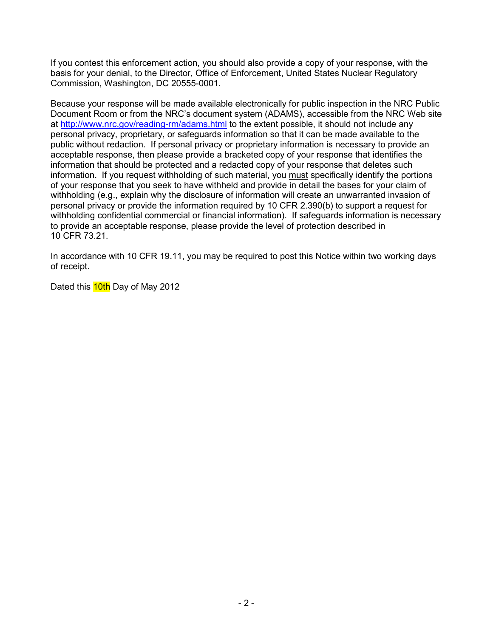If you contest this enforcement action, you should also provide a copy of your response, with the basis for your denial, to the Director, Office of Enforcement, United States Nuclear Regulatory Commission, Washington, DC 20555-0001.

Because your response will be made available electronically for public inspection in the NRC Public Document Room or from the NRC's document system (ADAMS), accessible from the NRC Web site at http://www.nrc.gov/reading-rm/adams.html to the extent possible, it should not include any personal privacy, proprietary, or safeguards information so that it can be made available to the public without redaction. If personal privacy or proprietary information is necessary to provide an acceptable response, then please provide a bracketed copy of your response that identifies the information that should be protected and a redacted copy of your response that deletes such information. If you request withholding of such material, you must specifically identify the portions of your response that you seek to have withheld and provide in detail the bases for your claim of withholding (e.g., explain why the disclosure of information will create an unwarranted invasion of personal privacy or provide the information required by 10 CFR 2.390(b) to support a request for withholding confidential commercial or financial information). If safeguards information is necessary to provide an acceptable response, please provide the level of protection described in 10 CFR 73.21.

In accordance with 10 CFR 19.11, you may be required to post this Notice within two working days of receipt.

Dated this **10th** Day of May 2012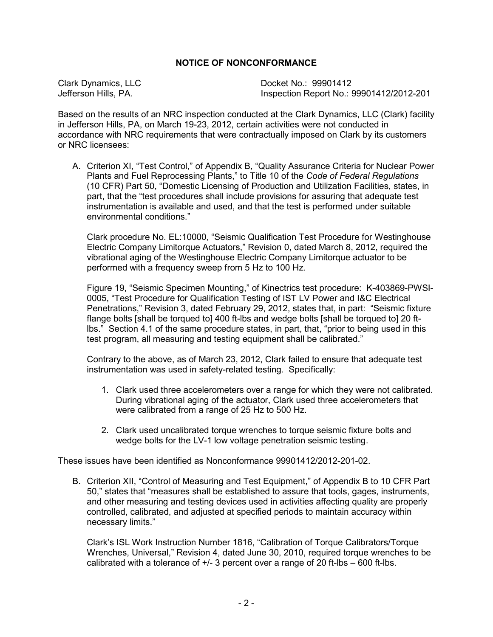## **NOTICE OF NONCONFORMANCE**

Clark Dynamics, LLC Docket No.: 99901412 Inspection Report No.: 99901412/2012-201

Based on the results of an NRC inspection conducted at the Clark Dynamics, LLC (Clark) facility in Jefferson Hills, PA, on March 19-23, 2012, certain activities were not conducted in accordance with NRC requirements that were contractually imposed on Clark by its customers or NRC licensees:

A. Criterion XI, "Test Control," of Appendix B, "Quality Assurance Criteria for Nuclear Power Plants and Fuel Reprocessing Plants," to Title 10 of the *Code of Federal Regulations* (10 CFR) Part 50, "Domestic Licensing of Production and Utilization Facilities, states, in part, that the "test procedures shall include provisions for assuring that adequate test instrumentation is available and used, and that the test is performed under suitable environmental conditions."

Clark procedure No. EL:10000, "Seismic Qualification Test Procedure for Westinghouse Electric Company Limitorque Actuators," Revision 0, dated March 8, 2012, required the vibrational aging of the Westinghouse Electric Company Limitorque actuator to be performed with a frequency sweep from 5 Hz to 100 Hz.

Figure 19, "Seismic Specimen Mounting," of Kinectrics test procedure: K-403869-PWSI-0005, "Test Procedure for Qualification Testing of IST LV Power and I&C Electrical Penetrations," Revision 3, dated February 29, 2012, states that, in part: "Seismic fixture flange bolts [shall be torqued to] 400 ft-lbs and wedge bolts [shall be torqued to] 20 ftlbs." Section 4.1 of the same procedure states, in part, that, "prior to being used in this test program, all measuring and testing equipment shall be calibrated."

Contrary to the above, as of March 23, 2012, Clark failed to ensure that adequate test instrumentation was used in safety-related testing. Specifically:

- 1. Clark used three accelerometers over a range for which they were not calibrated. During vibrational aging of the actuator, Clark used three accelerometers that were calibrated from a range of 25 Hz to 500 Hz.
- 2. Clark used uncalibrated torque wrenches to torque seismic fixture bolts and wedge bolts for the LV-1 low voltage penetration seismic testing.

These issues have been identified as Nonconformance 99901412/2012-201-02.

B. Criterion XII, "Control of Measuring and Test Equipment," of Appendix B to 10 CFR Part 50," states that "measures shall be established to assure that tools, gages, instruments, and other measuring and testing devices used in activities affecting quality are properly controlled, calibrated, and adjusted at specified periods to maintain accuracy within necessary limits."

Clark's ISL Work Instruction Number 1816, "Calibration of Torque Calibrators/Torque Wrenches, Universal," Revision 4, dated June 30, 2010, required torque wrenches to be calibrated with a tolerance of  $+/-$  3 percent over a range of 20 ft-lbs – 600 ft-lbs.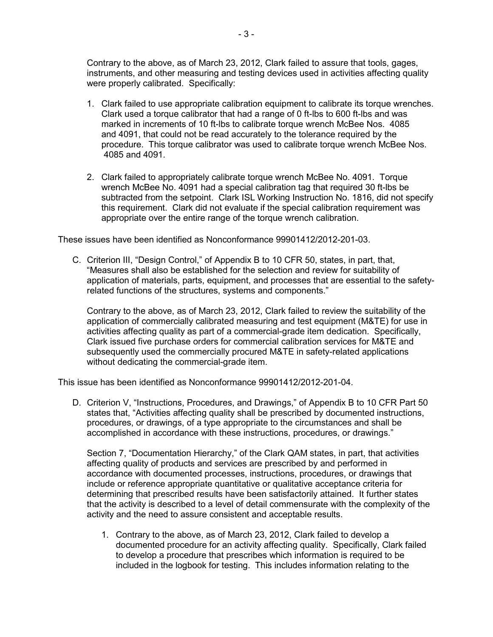Contrary to the above, as of March 23, 2012, Clark failed to assure that tools, gages, instruments, and other measuring and testing devices used in activities affecting quality were properly calibrated. Specifically:

- 1. Clark failed to use appropriate calibration equipment to calibrate its torque wrenches. Clark used a torque calibrator that had a range of 0 ft-lbs to 600 ft-lbs and was marked in increments of 10 ft-lbs to calibrate torque wrench McBee Nos. 4085 and 4091, that could not be read accurately to the tolerance required by the procedure. This torque calibrator was used to calibrate torque wrench McBee Nos. 4085 and 4091.
- 2. Clark failed to appropriately calibrate torque wrench McBee No. 4091. Torque wrench McBee No. 4091 had a special calibration tag that required 30 ft-lbs be subtracted from the setpoint. Clark ISL Working Instruction No. 1816, did not specify this requirement. Clark did not evaluate if the special calibration requirement was appropriate over the entire range of the torque wrench calibration.

These issues have been identified as Nonconformance 99901412/2012-201-03.

C. Criterion III, "Design Control," of Appendix B to 10 CFR 50, states, in part, that, "Measures shall also be established for the selection and review for suitability of application of materials, parts, equipment, and processes that are essential to the safetyrelated functions of the structures, systems and components."

Contrary to the above, as of March 23, 2012, Clark failed to review the suitability of the application of commercially calibrated measuring and test equipment (M&TE) for use in activities affecting quality as part of a commercial-grade item dedication. Specifically, Clark issued five purchase orders for commercial calibration services for M&TE and subsequently used the commercially procured M&TE in safety-related applications without dedicating the commercial-grade item.

This issue has been identified as Nonconformance 99901412/2012-201-04.

D. Criterion V, "Instructions, Procedures, and Drawings," of Appendix B to 10 CFR Part 50 states that, "Activities affecting quality shall be prescribed by documented instructions, procedures, or drawings, of a type appropriate to the circumstances and shall be accomplished in accordance with these instructions, procedures, or drawings."

Section 7, "Documentation Hierarchy," of the Clark QAM states, in part, that activities affecting quality of products and services are prescribed by and performed in accordance with documented processes, instructions, procedures, or drawings that include or reference appropriate quantitative or qualitative acceptance criteria for determining that prescribed results have been satisfactorily attained. It further states that the activity is described to a level of detail commensurate with the complexity of the activity and the need to assure consistent and acceptable results.

1. Contrary to the above, as of March 23, 2012, Clark failed to develop a documented procedure for an activity affecting quality. Specifically, Clark failed to develop a procedure that prescribes which information is required to be included in the logbook for testing. This includes information relating to the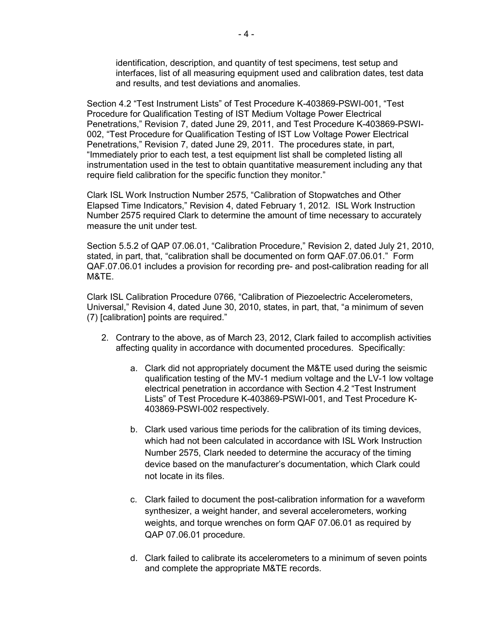identification, description, and quantity of test specimens, test setup and interfaces, list of all measuring equipment used and calibration dates, test data and results, and test deviations and anomalies.

Section 4.2 "Test Instrument Lists" of Test Procedure K-403869-PSWI-001, "Test Procedure for Qualification Testing of IST Medium Voltage Power Electrical Penetrations," Revision 7, dated June 29, 2011, and Test Procedure K-403869-PSWI-002, "Test Procedure for Qualification Testing of IST Low Voltage Power Electrical Penetrations," Revision 7, dated June 29, 2011. The procedures state, in part, "Immediately prior to each test, a test equipment list shall be completed listing all instrumentation used in the test to obtain quantitative measurement including any that require field calibration for the specific function they monitor."

Clark ISL Work Instruction Number 2575, "Calibration of Stopwatches and Other Elapsed Time Indicators," Revision 4, dated February 1, 2012. ISL Work Instruction Number 2575 required Clark to determine the amount of time necessary to accurately measure the unit under test.

Section 5.5.2 of QAP 07.06.01, "Calibration Procedure," Revision 2, dated July 21, 2010, stated, in part, that, "calibration shall be documented on form QAF.07.06.01." Form QAF.07.06.01 includes a provision for recording pre- and post-calibration reading for all M&TE.

Clark ISL Calibration Procedure 0766, "Calibration of Piezoelectric Accelerometers, Universal," Revision 4, dated June 30, 2010, states, in part, that, "a minimum of seven (7) [calibration] points are required."

- 2. Contrary to the above, as of March 23, 2012, Clark failed to accomplish activities affecting quality in accordance with documented procedures. Specifically:
	- a. Clark did not appropriately document the M&TE used during the seismic qualification testing of the MV-1 medium voltage and the LV-1 low voltage electrical penetration in accordance with Section 4.2 "Test Instrument Lists" of Test Procedure K-403869-PSWI-001, and Test Procedure K-403869-PSWI-002 respectively.
	- b. Clark used various time periods for the calibration of its timing devices, which had not been calculated in accordance with ISL Work Instruction Number 2575, Clark needed to determine the accuracy of the timing device based on the manufacturer's documentation, which Clark could not locate in its files.
	- c. Clark failed to document the post-calibration information for a waveform synthesizer, a weight hander, and several accelerometers, working weights, and torque wrenches on form QAF 07.06.01 as required by QAP 07.06.01 procedure.
	- d. Clark failed to calibrate its accelerometers to a minimum of seven points and complete the appropriate M&TE records.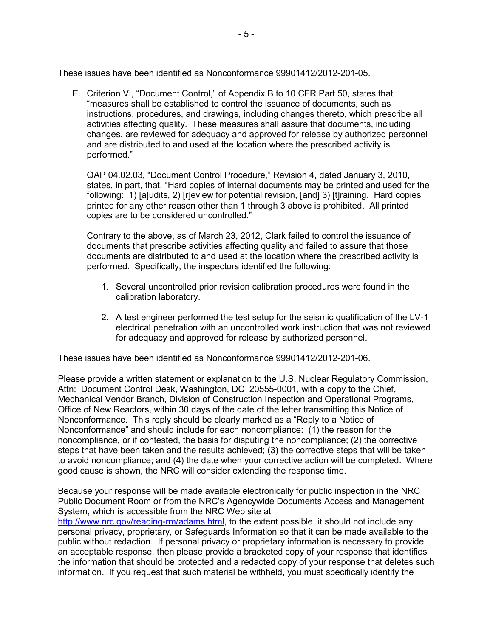These issues have been identified as Nonconformance 99901412/2012-201-05.

E. Criterion VI, "Document Control," of Appendix B to 10 CFR Part 50, states that "measures shall be established to control the issuance of documents, such as instructions, procedures, and drawings, including changes thereto, which prescribe all activities affecting quality. These measures shall assure that documents, including changes, are reviewed for adequacy and approved for release by authorized personnel and are distributed to and used at the location where the prescribed activity is performed."

QAP 04.02.03, "Document Control Procedure," Revision 4, dated January 3, 2010, states, in part, that, "Hard copies of internal documents may be printed and used for the following: 1) [a]udits, 2) [r]eview for potential revision, [and] 3) [t]raining. Hard copies printed for any other reason other than 1 through 3 above is prohibited. All printed copies are to be considered uncontrolled."

Contrary to the above, as of March 23, 2012, Clark failed to control the issuance of documents that prescribe activities affecting quality and failed to assure that those documents are distributed to and used at the location where the prescribed activity is performed. Specifically, the inspectors identified the following:

- 1. Several uncontrolled prior revision calibration procedures were found in the calibration laboratory.
- 2. A test engineer performed the test setup for the seismic qualification of the LV-1 electrical penetration with an uncontrolled work instruction that was not reviewed for adequacy and approved for release by authorized personnel.

These issues have been identified as Nonconformance 99901412/2012-201-06.

Please provide a written statement or explanation to the U.S. Nuclear Regulatory Commission, Attn: Document Control Desk, Washington, DC 20555-0001, with a copy to the Chief, Mechanical Vendor Branch, Division of Construction Inspection and Operational Programs, Office of New Reactors, within 30 days of the date of the letter transmitting this Notice of Nonconformance. This reply should be clearly marked as a "Reply to a Notice of Nonconformance" and should include for each noncompliance: (1) the reason for the noncompliance, or if contested, the basis for disputing the noncompliance; (2) the corrective steps that have been taken and the results achieved; (3) the corrective steps that will be taken to avoid noncompliance; and (4) the date when your corrective action will be completed. Where good cause is shown, the NRC will consider extending the response time.

Because your response will be made available electronically for public inspection in the NRC Public Document Room or from the NRC's Agencywide Documents Access and Management System, which is accessible from the NRC Web site at

http://www.nrc.gov/reading-rm/adams.html, to the extent possible, it should not include any personal privacy, proprietary, or Safeguards Information so that it can be made available to the public without redaction. If personal privacy or proprietary information is necessary to provide an acceptable response, then please provide a bracketed copy of your response that identifies the information that should be protected and a redacted copy of your response that deletes such information. If you request that such material be withheld, you must specifically identify the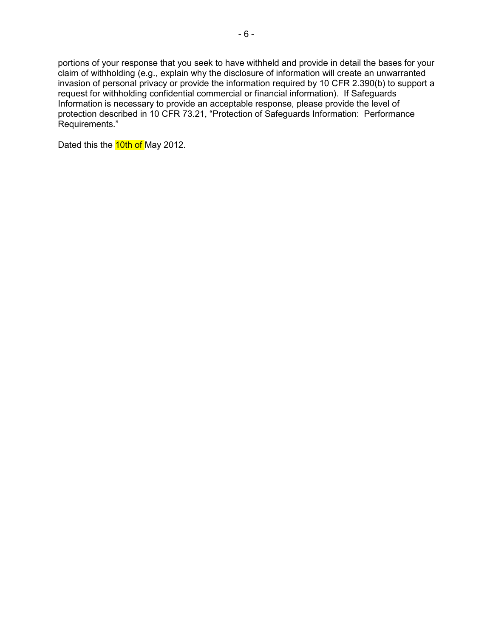portions of your response that you seek to have withheld and provide in detail the bases for your claim of withholding (e.g., explain why the disclosure of information will create an unwarranted invasion of personal privacy or provide the information required by 10 CFR 2.390(b) to support a request for withholding confidential commercial or financial information). If Safeguards Information is necessary to provide an acceptable response, please provide the level of protection described in 10 CFR 73.21, "Protection of Safeguards Information: Performance Requirements."

Dated this the **10th of** May 2012.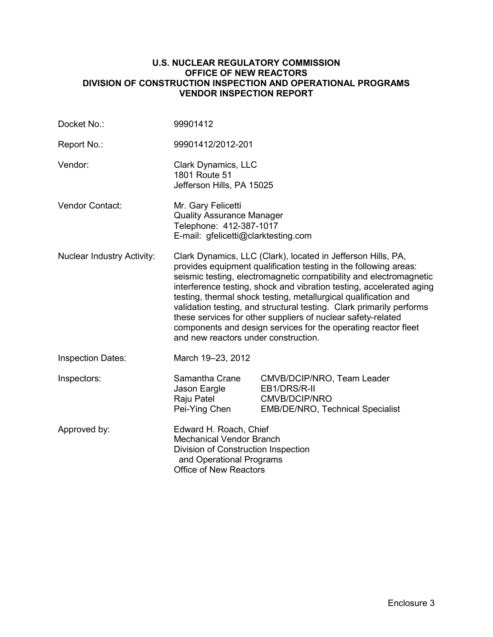#### **U.S. NUCLEAR REGULATORY COMMISSION OFFICE OF NEW REACTORS DIVISION OF CONSTRUCTION INSPECTION AND OPERATIONAL PROGRAMS VENDOR INSPECTION REPORT**

| Docket No.:                       | 99901412                                                                                                                                                                                                                                                                                                                                                                                                                                                                                                                                                                                            |                                                                                                        |  |
|-----------------------------------|-----------------------------------------------------------------------------------------------------------------------------------------------------------------------------------------------------------------------------------------------------------------------------------------------------------------------------------------------------------------------------------------------------------------------------------------------------------------------------------------------------------------------------------------------------------------------------------------------------|--------------------------------------------------------------------------------------------------------|--|
| Report No.:                       | 99901412/2012-201                                                                                                                                                                                                                                                                                                                                                                                                                                                                                                                                                                                   |                                                                                                        |  |
| Vendor:                           | Clark Dynamics, LLC<br>1801 Route 51<br>Jefferson Hills, PA 15025                                                                                                                                                                                                                                                                                                                                                                                                                                                                                                                                   |                                                                                                        |  |
| Vendor Contact:                   | Mr. Gary Felicetti<br><b>Quality Assurance Manager</b><br>Telephone: 412-387-1017<br>E-mail: gfelicetti@clarktesting.com                                                                                                                                                                                                                                                                                                                                                                                                                                                                            |                                                                                                        |  |
| <b>Nuclear Industry Activity:</b> | Clark Dynamics, LLC (Clark), located in Jefferson Hills, PA,<br>provides equipment qualification testing in the following areas:<br>seismic testing, electromagnetic compatibility and electromagnetic<br>interference testing, shock and vibration testing, accelerated aging<br>testing, thermal shock testing, metallurgical qualification and<br>validation testing, and structural testing. Clark primarily performs<br>these services for other suppliers of nuclear safety-related<br>components and design services for the operating reactor fleet<br>and new reactors under construction. |                                                                                                        |  |
| <b>Inspection Dates:</b>          | March 19-23, 2012                                                                                                                                                                                                                                                                                                                                                                                                                                                                                                                                                                                   |                                                                                                        |  |
| Inspectors:                       | Samantha Crane<br>Jason Eargle<br>Raju Patel<br>Pei-Ying Chen                                                                                                                                                                                                                                                                                                                                                                                                                                                                                                                                       | CMVB/DCIP/NRO, Team Leader<br>EB1/DRS/R-II<br>CMVB/DCIP/NRO<br><b>EMB/DE/NRO, Technical Specialist</b> |  |
| Approved by:                      | Edward H. Roach, Chief<br><b>Mechanical Vendor Branch</b><br>Division of Construction Inspection<br>and Operational Programs<br><b>Office of New Reactors</b>                                                                                                                                                                                                                                                                                                                                                                                                                                       |                                                                                                        |  |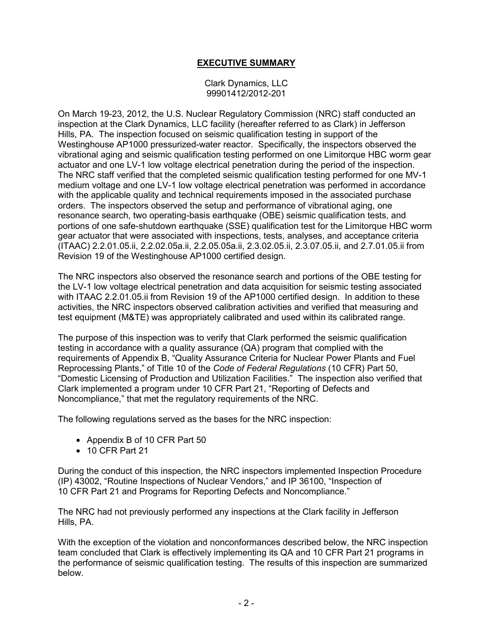# **EXECUTIVE SUMMARY**

Clark Dynamics, LLC 99901412/2012-201

On March 19-23, 2012, the U.S. Nuclear Regulatory Commission (NRC) staff conducted an inspection at the Clark Dynamics, LLC facility (hereafter referred to as Clark) in Jefferson Hills, PA. The inspection focused on seismic qualification testing in support of the Westinghouse AP1000 pressurized-water reactor. Specifically, the inspectors observed the vibrational aging and seismic qualification testing performed on one Limitorque HBC worm gear actuator and one LV-1 low voltage electrical penetration during the period of the inspection. The NRC staff verified that the completed seismic qualification testing performed for one MV-1 medium voltage and one LV-1 low voltage electrical penetration was performed in accordance with the applicable quality and technical requirements imposed in the associated purchase orders. The inspectors observed the setup and performance of vibrational aging, one resonance search, two operating-basis earthquake (OBE) seismic qualification tests, and portions of one safe-shutdown earthquake (SSE) qualification test for the Limitorque HBC worm gear actuator that were associated with inspections, tests, analyses, and acceptance criteria (ITAAC) 2.2.01.05.ii, 2.2.02.05a.ii, 2.2.05.05a.ii, 2.3.02.05.ii, 2.3.07.05.ii, and 2.7.01.05.ii from Revision 19 of the Westinghouse AP1000 certified design.

The NRC inspectors also observed the resonance search and portions of the OBE testing for the LV-1 low voltage electrical penetration and data acquisition for seismic testing associated with ITAAC 2.2.01.05.ii from Revision 19 of the AP1000 certified design. In addition to these activities, the NRC inspectors observed calibration activities and verified that measuring and test equipment (M&TE) was appropriately calibrated and used within its calibrated range.

The purpose of this inspection was to verify that Clark performed the seismic qualification testing in accordance with a quality assurance (QA) program that complied with the requirements of Appendix B, "Quality Assurance Criteria for Nuclear Power Plants and Fuel Reprocessing Plants," of Title 10 of the *Code of Federal Regulations* (10 CFR) Part 50, "Domestic Licensing of Production and Utilization Facilities." The inspection also verified that Clark implemented a program under 10 CFR Part 21, "Reporting of Defects and Noncompliance," that met the regulatory requirements of the NRC.

The following regulations served as the bases for the NRC inspection:

- Appendix B of 10 CFR Part 50
- 10 CFR Part 21

During the conduct of this inspection, the NRC inspectors implemented Inspection Procedure (IP) 43002, "Routine Inspections of Nuclear Vendors," and IP 36100, "Inspection of 10 CFR Part 21 and Programs for Reporting Defects and Noncompliance."

The NRC had not previously performed any inspections at the Clark facility in Jefferson Hills, PA.

With the exception of the violation and nonconformances described below, the NRC inspection team concluded that Clark is effectively implementing its QA and 10 CFR Part 21 programs in the performance of seismic qualification testing. The results of this inspection are summarized below.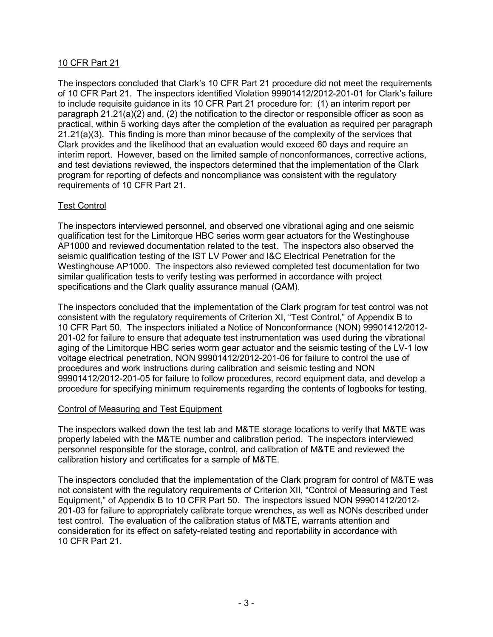## 10 CFR Part 21

The inspectors concluded that Clark's 10 CFR Part 21 procedure did not meet the requirements of 10 CFR Part 21. The inspectors identified Violation 99901412/2012-201-01 for Clark's failure to include requisite guidance in its 10 CFR Part 21 procedure for: (1) an interim report per paragraph  $21.21(a)(2)$  and, (2) the notification to the director or responsible officer as soon as practical, within 5 working days after the completion of the evaluation as required per paragraph 21.21(a)(3). This finding is more than minor because of the complexity of the services that Clark provides and the likelihood that an evaluation would exceed 60 days and require an interim report. However, based on the limited sample of nonconformances, corrective actions, and test deviations reviewed, the inspectors determined that the implementation of the Clark program for reporting of defects and noncompliance was consistent with the regulatory requirements of 10 CFR Part 21.

## Test Control

The inspectors interviewed personnel, and observed one vibrational aging and one seismic qualification test for the Limitorque HBC series worm gear actuators for the Westinghouse AP1000 and reviewed documentation related to the test. The inspectors also observed the seismic qualification testing of the IST LV Power and I&C Electrical Penetration for the Westinghouse AP1000. The inspectors also reviewed completed test documentation for two similar qualification tests to verify testing was performed in accordance with project specifications and the Clark quality assurance manual (QAM).

The inspectors concluded that the implementation of the Clark program for test control was not consistent with the regulatory requirements of Criterion XI, "Test Control," of Appendix B to 10 CFR Part 50. The inspectors initiated a Notice of Nonconformance (NON) 99901412/2012- 201-02 for failure to ensure that adequate test instrumentation was used during the vibrational aging of the Limitorque HBC series worm gear actuator and the seismic testing of the LV-1 low voltage electrical penetration, NON 99901412/2012-201-06 for failure to control the use of procedures and work instructions during calibration and seismic testing and NON 99901412/2012-201-05 for failure to follow procedures, record equipment data, and develop a procedure for specifying minimum requirements regarding the contents of logbooks for testing.

## Control of Measuring and Test Equipment

The inspectors walked down the test lab and M&TE storage locations to verify that M&TE was properly labeled with the M&TE number and calibration period. The inspectors interviewed personnel responsible for the storage, control, and calibration of M&TE and reviewed the calibration history and certificates for a sample of M&TE.

The inspectors concluded that the implementation of the Clark program for control of M&TE was not consistent with the regulatory requirements of Criterion XII, "Control of Measuring and Test Equipment," of Appendix B to 10 CFR Part 50. The inspectors issued NON 99901412/2012- 201-03 for failure to appropriately calibrate torque wrenches, as well as NONs described under test control. The evaluation of the calibration status of M&TE, warrants attention and consideration for its effect on safety-related testing and reportability in accordance with 10 CFR Part 21.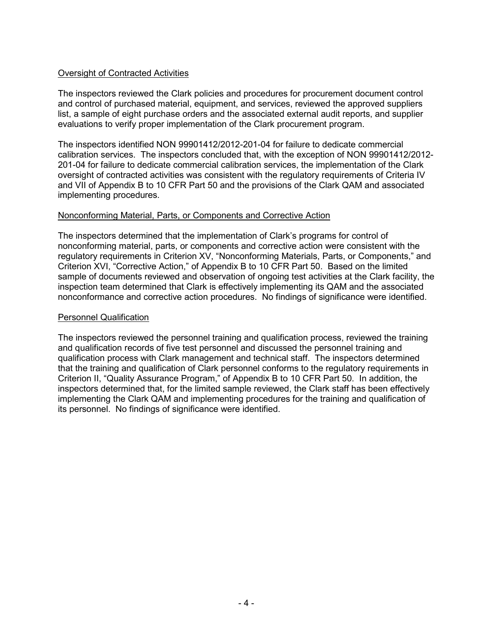## Oversight of Contracted Activities

The inspectors reviewed the Clark policies and procedures for procurement document control and control of purchased material, equipment, and services, reviewed the approved suppliers list, a sample of eight purchase orders and the associated external audit reports, and supplier evaluations to verify proper implementation of the Clark procurement program.

The inspectors identified NON 99901412/2012-201-04 for failure to dedicate commercial calibration services. The inspectors concluded that, with the exception of NON 99901412/2012- 201-04 for failure to dedicate commercial calibration services, the implementation of the Clark oversight of contracted activities was consistent with the regulatory requirements of Criteria IV and VII of Appendix B to 10 CFR Part 50 and the provisions of the Clark QAM and associated implementing procedures.

## Nonconforming Material, Parts, or Components and Corrective Action

The inspectors determined that the implementation of Clark's programs for control of nonconforming material, parts, or components and corrective action were consistent with the regulatory requirements in Criterion XV, "Nonconforming Materials, Parts, or Components," and Criterion XVI, "Corrective Action," of Appendix B to 10 CFR Part 50. Based on the limited sample of documents reviewed and observation of ongoing test activities at the Clark facility, the inspection team determined that Clark is effectively implementing its QAM and the associated nonconformance and corrective action procedures. No findings of significance were identified.

#### Personnel Qualification

The inspectors reviewed the personnel training and qualification process, reviewed the training and qualification records of five test personnel and discussed the personnel training and qualification process with Clark management and technical staff. The inspectors determined that the training and qualification of Clark personnel conforms to the regulatory requirements in Criterion II, "Quality Assurance Program," of Appendix B to 10 CFR Part 50. In addition, the inspectors determined that, for the limited sample reviewed, the Clark staff has been effectively implementing the Clark QAM and implementing procedures for the training and qualification of its personnel. No findings of significance were identified.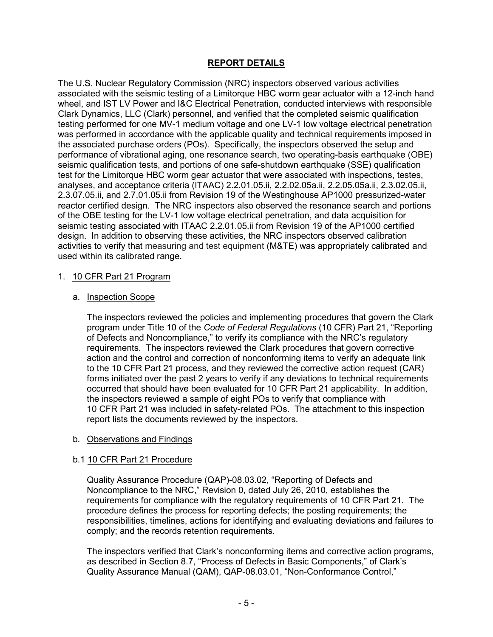## **REPORT DETAILS**

The U.S. Nuclear Regulatory Commission (NRC) inspectors observed various activities associated with the seismic testing of a Limitorque HBC worm gear actuator with a 12-inch hand wheel, and IST LV Power and I&C Electrical Penetration, conducted interviews with responsible Clark Dynamics, LLC (Clark) personnel, and verified that the completed seismic qualification testing performed for one MV-1 medium voltage and one LV-1 low voltage electrical penetration was performed in accordance with the applicable quality and technical requirements imposed in the associated purchase orders (POs). Specifically, the inspectors observed the setup and performance of vibrational aging, one resonance search, two operating-basis earthquake (OBE) seismic qualification tests, and portions of one safe-shutdown earthquake (SSE) qualification test for the Limitorque HBC worm gear actuator that were associated with inspections, testes, analyses, and acceptance criteria (ITAAC) 2.2.01.05.ii, 2.2.02.05a.ii, 2.2.05.05a.ii, 2.3.02.05.ii, 2.3.07.05.ii, and 2.7.01.05.ii from Revision 19 of the Westinghouse AP1000 pressurized-water reactor certified design. The NRC inspectors also observed the resonance search and portions of the OBE testing for the LV-1 low voltage electrical penetration, and data acquisition for seismic testing associated with ITAAC 2.2.01.05.ii from Revision 19 of the AP1000 certified design. In addition to observing these activities, the NRC inspectors observed calibration activities to verify that measuring and test equipment (M&TE) was appropriately calibrated and used within its calibrated range.

#### 1. 10 CFR Part 21 Program

#### a. Inspection Scope

The inspectors reviewed the policies and implementing procedures that govern the Clark program under Title 10 of the *Code of Federal Regulations* (10 CFR) Part 21, "Reporting of Defects and Noncompliance," to verify its compliance with the NRC's regulatory requirements. The inspectors reviewed the Clark procedures that govern corrective action and the control and correction of nonconforming items to verify an adequate link to the 10 CFR Part 21 process, and they reviewed the corrective action request (CAR) forms initiated over the past 2 years to verify if any deviations to technical requirements occurred that should have been evaluated for 10 CFR Part 21 applicability. In addition, the inspectors reviewed a sample of eight POs to verify that compliance with 10 CFR Part 21 was included in safety-related POs. The attachment to this inspection report lists the documents reviewed by the inspectors.

## b. Observations and Findings

## b.1 10 CFR Part 21 Procedure

Quality Assurance Procedure (QAP)-08.03.02, "Reporting of Defects and Noncompliance to the NRC," Revision 0, dated July 26, 2010, establishes the requirements for compliance with the regulatory requirements of 10 CFR Part 21. The procedure defines the process for reporting defects; the posting requirements; the responsibilities, timelines, actions for identifying and evaluating deviations and failures to comply; and the records retention requirements.

The inspectors verified that Clark's nonconforming items and corrective action programs, as described in Section 8.7, "Process of Defects in Basic Components," of Clark's Quality Assurance Manual (QAM), QAP-08.03.01, "Non-Conformance Control,"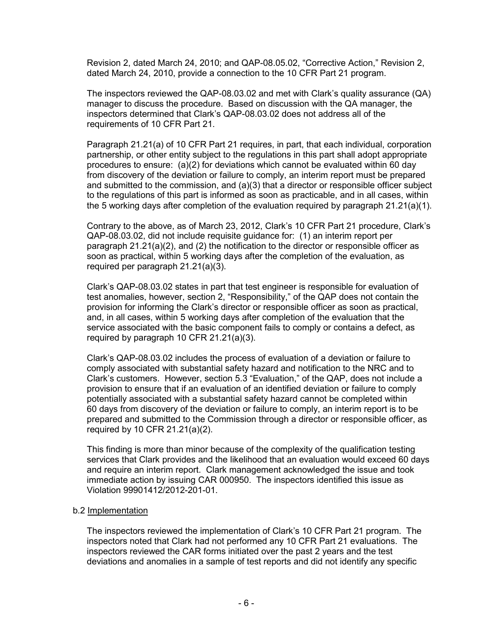Revision 2, dated March 24, 2010; and QAP-08.05.02, "Corrective Action," Revision 2, dated March 24, 2010, provide a connection to the 10 CFR Part 21 program.

The inspectors reviewed the QAP-08.03.02 and met with Clark's quality assurance (QA) manager to discuss the procedure. Based on discussion with the QA manager, the inspectors determined that Clark's QAP-08.03.02 does not address all of the requirements of 10 CFR Part 21.

Paragraph 21.21(a) of 10 CFR Part 21 requires, in part, that each individual, corporation partnership, or other entity subject to the regulations in this part shall adopt appropriate procedures to ensure: (a)(2) for deviations which cannot be evaluated within 60 day from discovery of the deviation or failure to comply, an interim report must be prepared and submitted to the commission, and  $(a)(3)$  that a director or responsible officer subject to the regulations of this part is informed as soon as practicable, and in all cases, within the 5 working days after completion of the evaluation required by paragraph 21.21(a)(1).

Contrary to the above, as of March 23, 2012, Clark's 10 CFR Part 21 procedure, Clark's QAP-08.03.02, did not include requisite guidance for: (1) an interim report per paragraph  $21.21(a)(2)$ , and (2) the notification to the director or responsible officer as soon as practical, within 5 working days after the completion of the evaluation, as required per paragraph 21.21(a)(3).

Clark's QAP-08.03.02 states in part that test engineer is responsible for evaluation of test anomalies, however, section 2, "Responsibility," of the QAP does not contain the provision for informing the Clark's director or responsible officer as soon as practical, and, in all cases, within 5 working days after completion of the evaluation that the service associated with the basic component fails to comply or contains a defect, as required by paragraph 10 CFR 21.21(a)(3).

Clark's QAP-08.03.02 includes the process of evaluation of a deviation or failure to comply associated with substantial safety hazard and notification to the NRC and to Clark's customers. However, section 5.3 "Evaluation," of the QAP, does not include a provision to ensure that if an evaluation of an identified deviation or failure to comply potentially associated with a substantial safety hazard cannot be completed within 60 days from discovery of the deviation or failure to comply, an interim report is to be prepared and submitted to the Commission through a director or responsible officer, as required by 10 CFR 21.21(a)(2).

This finding is more than minor because of the complexity of the qualification testing services that Clark provides and the likelihood that an evaluation would exceed 60 days and require an interim report. Clark management acknowledged the issue and took immediate action by issuing CAR 000950. The inspectors identified this issue as Violation 99901412/2012-201-01.

#### b.2 Implementation

The inspectors reviewed the implementation of Clark's 10 CFR Part 21 program. The inspectors noted that Clark had not performed any 10 CFR Part 21 evaluations. The inspectors reviewed the CAR forms initiated over the past 2 years and the test deviations and anomalies in a sample of test reports and did not identify any specific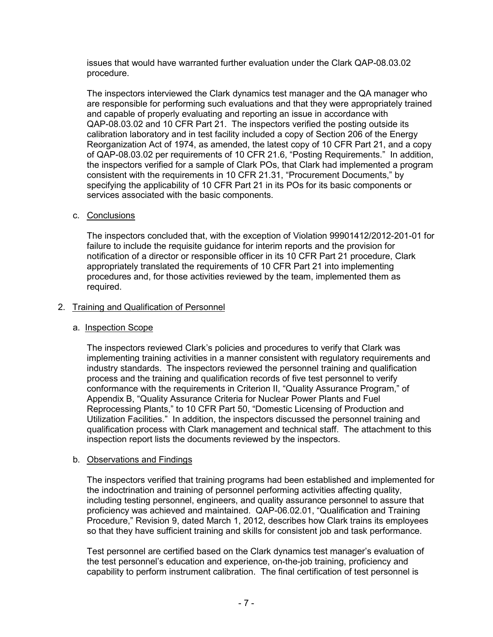issues that would have warranted further evaluation under the Clark QAP-08.03.02 procedure.

The inspectors interviewed the Clark dynamics test manager and the QA manager who are responsible for performing such evaluations and that they were appropriately trained and capable of properly evaluating and reporting an issue in accordance with QAP-08.03.02 and 10 CFR Part 21. The inspectors verified the posting outside its calibration laboratory and in test facility included a copy of Section 206 of the Energy Reorganization Act of 1974, as amended, the latest copy of 10 CFR Part 21, and a copy of QAP-08.03.02 per requirements of 10 CFR 21.6, "Posting Requirements." In addition, the inspectors verified for a sample of Clark POs, that Clark had implemented a program consistent with the requirements in 10 CFR 21.31, "Procurement Documents," by specifying the applicability of 10 CFR Part 21 in its POs for its basic components or services associated with the basic components.

## c. Conclusions

The inspectors concluded that, with the exception of Violation 99901412/2012-201-01 for failure to include the requisite guidance for interim reports and the provision for notification of a director or responsible officer in its 10 CFR Part 21 procedure, Clark appropriately translated the requirements of 10 CFR Part 21 into implementing procedures and, for those activities reviewed by the team, implemented them as required.

## 2. Training and Qualification of Personnel

## a. Inspection Scope

The inspectors reviewed Clark's policies and procedures to verify that Clark was implementing training activities in a manner consistent with regulatory requirements and industry standards. The inspectors reviewed the personnel training and qualification process and the training and qualification records of five test personnel to verify conformance with the requirements in Criterion II, "Quality Assurance Program," of Appendix B, "Quality Assurance Criteria for Nuclear Power Plants and Fuel Reprocessing Plants," to 10 CFR Part 50, "Domestic Licensing of Production and Utilization Facilities." In addition, the inspectors discussed the personnel training and qualification process with Clark management and technical staff. The attachment to this inspection report lists the documents reviewed by the inspectors.

## b. Observations and Findings

The inspectors verified that training programs had been established and implemented for the indoctrination and training of personnel performing activities affecting quality, including testing personnel, engineers, and quality assurance personnel to assure that proficiency was achieved and maintained. QAP-06.02.01, "Qualification and Training Procedure," Revision 9, dated March 1, 2012, describes how Clark trains its employees so that they have sufficient training and skills for consistent job and task performance.

Test personnel are certified based on the Clark dynamics test manager's evaluation of the test personnel's education and experience, on-the-job training, proficiency and capability to perform instrument calibration. The final certification of test personnel is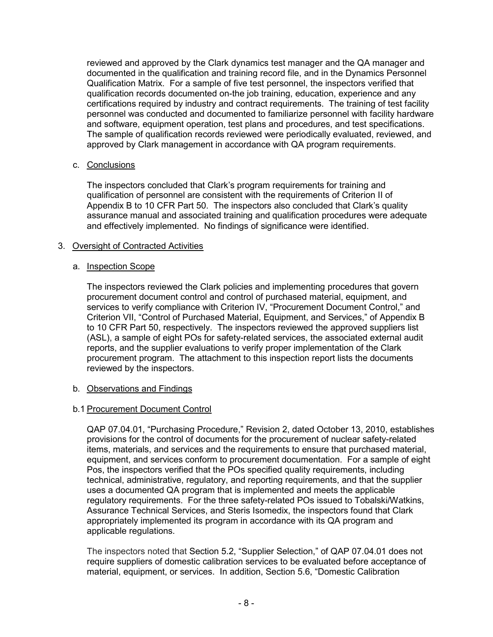reviewed and approved by the Clark dynamics test manager and the QA manager and documented in the qualification and training record file, and in the Dynamics Personnel Qualification Matrix. For a sample of five test personnel, the inspectors verified that qualification records documented on-the job training, education, experience and any certifications required by industry and contract requirements. The training of test facility personnel was conducted and documented to familiarize personnel with facility hardware and software, equipment operation, test plans and procedures, and test specifications. The sample of qualification records reviewed were periodically evaluated, reviewed, and approved by Clark management in accordance with QA program requirements.

## c. Conclusions

The inspectors concluded that Clark's program requirements for training and qualification of personnel are consistent with the requirements of Criterion II of Appendix B to 10 CFR Part 50. The inspectors also concluded that Clark's quality assurance manual and associated training and qualification procedures were adequate and effectively implemented. No findings of significance were identified.

## 3. Oversight of Contracted Activities

## a. Inspection Scope

The inspectors reviewed the Clark policies and implementing procedures that govern procurement document control and control of purchased material, equipment, and services to verify compliance with Criterion IV, "Procurement Document Control," and Criterion VII, "Control of Purchased Material, Equipment, and Services," of Appendix B to 10 CFR Part 50, respectively. The inspectors reviewed the approved suppliers list (ASL), a sample of eight POs for safety-related services, the associated external audit reports, and the supplier evaluations to verify proper implementation of the Clark procurement program. The attachment to this inspection report lists the documents reviewed by the inspectors.

## b. Observations and Findings

## b.1 Procurement Document Control

QAP 07.04.01, "Purchasing Procedure," Revision 2, dated October 13, 2010, establishes provisions for the control of documents for the procurement of nuclear safety-related items, materials, and services and the requirements to ensure that purchased material, equipment, and services conform to procurement documentation. For a sample of eight Pos, the inspectors verified that the POs specified quality requirements, including technical, administrative, regulatory, and reporting requirements, and that the supplier uses a documented QA program that is implemented and meets the applicable regulatory requirements. For the three safety-related POs issued to Tobalski/Watkins, Assurance Technical Services, and Steris Isomedix, the inspectors found that Clark appropriately implemented its program in accordance with its QA program and applicable regulations.

The inspectors noted that Section 5.2, "Supplier Selection," of QAP 07.04.01 does not require suppliers of domestic calibration services to be evaluated before acceptance of material, equipment, or services. In addition, Section 5.6, "Domestic Calibration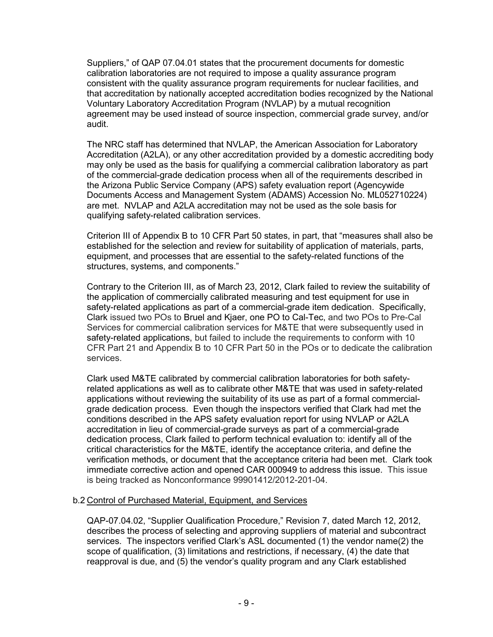Suppliers," of QAP 07.04.01 states that the procurement documents for domestic calibration laboratories are not required to impose a quality assurance program consistent with the quality assurance program requirements for nuclear facilities, and that accreditation by nationally accepted accreditation bodies recognized by the National Voluntary Laboratory Accreditation Program (NVLAP) by a mutual recognition agreement may be used instead of source inspection, commercial grade survey, and/or audit.

The NRC staff has determined that NVLAP, the American Association for Laboratory Accreditation (A2LA), or any other accreditation provided by a domestic accrediting body may only be used as the basis for qualifying a commercial calibration laboratory as part of the commercial-grade dedication process when all of the requirements described in the Arizona Public Service Company (APS) safety evaluation report (Agencywide Documents Access and Management System (ADAMS) Accession No. ML052710224) are met. NVLAP and A2LA accreditation may not be used as the sole basis for qualifying safety-related calibration services.

Criterion III of Appendix B to 10 CFR Part 50 states, in part, that "measures shall also be established for the selection and review for suitability of application of materials, parts, equipment, and processes that are essential to the safety-related functions of the structures, systems, and components."

Contrary to the Criterion III, as of March 23, 2012, Clark failed to review the suitability of the application of commercially calibrated measuring and test equipment for use in safety-related applications as part of a commercial-grade item dedication. Specifically, Clark issued two POs to Bruel and Kjaer, one PO to Cal-Tec, and two POs to Pre-Cal Services for commercial calibration services for M&TE that were subsequently used in safety-related applications, but failed to include the requirements to conform with 10 CFR Part 21 and Appendix B to 10 CFR Part 50 in the POs or to dedicate the calibration services.

Clark used M&TE calibrated by commercial calibration laboratories for both safetyrelated applications as well as to calibrate other M&TE that was used in safety-related applications without reviewing the suitability of its use as part of a formal commercialgrade dedication process. Even though the inspectors verified that Clark had met the conditions described in the APS safety evaluation report for using NVLAP or A2LA accreditation in lieu of commercial-grade surveys as part of a commercial-grade dedication process, Clark failed to perform technical evaluation to: identify all of the critical characteristics for the M&TE, identify the acceptance criteria, and define the verification methods, or document that the acceptance criteria had been met. Clark took immediate corrective action and opened CAR 000949 to address this issue. This issue is being tracked as Nonconformance 99901412/2012-201-04.

## b.2 Control of Purchased Material, Equipment, and Services

QAP-07.04.02, "Supplier Qualification Procedure," Revision 7, dated March 12, 2012, describes the process of selecting and approving suppliers of material and subcontract services. The inspectors verified Clark's ASL documented (1) the vendor name(2) the scope of qualification, (3) limitations and restrictions, if necessary, (4) the date that reapproval is due, and (5) the vendor's quality program and any Clark established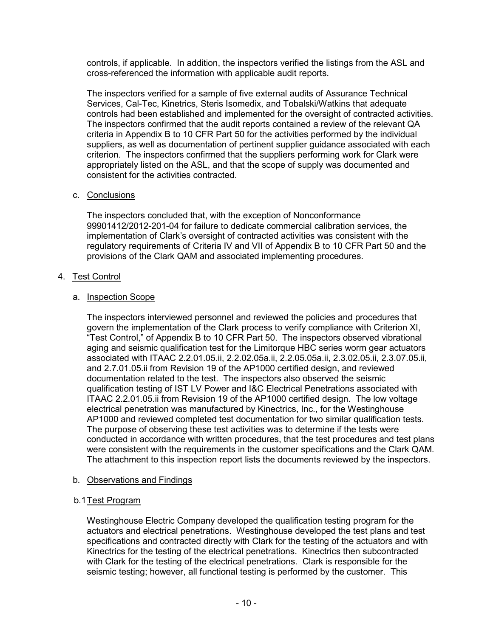controls, if applicable. In addition, the inspectors verified the listings from the ASL and cross-referenced the information with applicable audit reports.

The inspectors verified for a sample of five external audits of Assurance Technical Services, Cal-Tec, Kinetrics, Steris Isomedix, and Tobalski/Watkins that adequate controls had been established and implemented for the oversight of contracted activities. The inspectors confirmed that the audit reports contained a review of the relevant QA criteria in Appendix B to 10 CFR Part 50 for the activities performed by the individual suppliers, as well as documentation of pertinent supplier guidance associated with each criterion. The inspectors confirmed that the suppliers performing work for Clark were appropriately listed on the ASL, and that the scope of supply was documented and consistent for the activities contracted.

## c. Conclusions

The inspectors concluded that, with the exception of Nonconformance 99901412/2012-201-04 for failure to dedicate commercial calibration services, the implementation of Clark's oversight of contracted activities was consistent with the regulatory requirements of Criteria IV and VII of Appendix B to 10 CFR Part 50 and the provisions of the Clark QAM and associated implementing procedures.

# 4. Test Control

## a. Inspection Scope

The inspectors interviewed personnel and reviewed the policies and procedures that govern the implementation of the Clark process to verify compliance with Criterion XI, "Test Control," of Appendix B to 10 CFR Part 50. The inspectors observed vibrational aging and seismic qualification test for the Limitorque HBC series worm gear actuators associated with ITAAC 2.2.01.05.ii, 2.2.02.05a.ii, 2.2.05.05a.ii, 2.3.02.05.ii, 2.3.07.05.ii, and 2.7.01.05.ii from Revision 19 of the AP1000 certified design, and reviewed documentation related to the test. The inspectors also observed the seismic qualification testing of IST LV Power and I&C Electrical Penetrations associated with ITAAC 2.2.01.05.ii from Revision 19 of the AP1000 certified design. The low voltage electrical penetration was manufactured by Kinectrics, Inc., for the Westinghouse AP1000 and reviewed completed test documentation for two similar qualification tests. The purpose of observing these test activities was to determine if the tests were conducted in accordance with written procedures, that the test procedures and test plans were consistent with the requirements in the customer specifications and the Clark QAM. The attachment to this inspection report lists the documents reviewed by the inspectors.

## b. Observations and Findings

## b.1 Test Program

Westinghouse Electric Company developed the qualification testing program for the actuators and electrical penetrations. Westinghouse developed the test plans and test specifications and contracted directly with Clark for the testing of the actuators and with Kinectrics for the testing of the electrical penetrations. Kinectrics then subcontracted with Clark for the testing of the electrical penetrations. Clark is responsible for the seismic testing; however, all functional testing is performed by the customer. This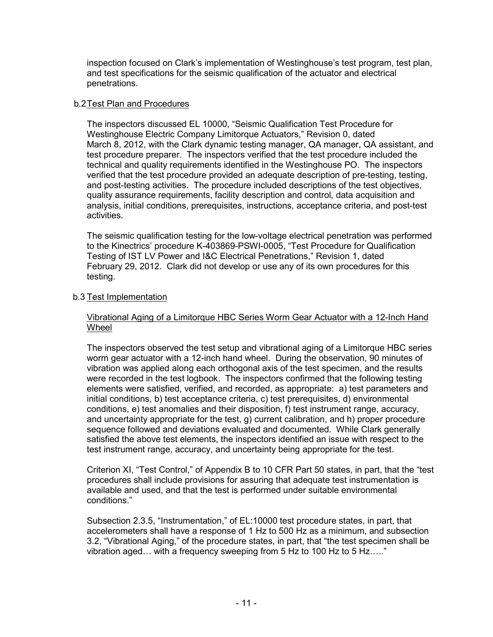inspection focused on Clark's implementation of Westinghouse's test program, test plan, and test specifications for the seismic qualification of the actuator and electrical penetrations.

## b.2 Test Plan and Procedures

The inspectors discussed EL 10000, "Seismic Qualification Test Procedure for Westinghouse Electric Company Limitorque Actuators," Revision 0, dated March 8, 2012, with the Clark dynamic testing manager, QA manager, QA assistant, and test procedure preparer. The inspectors verified that the test procedure included the technical and quality requirements identified in the Westinghouse PO. The inspectors verified that the test procedure provided an adequate description of pre-testing, testing, and post-testing activities. The procedure included descriptions of the test objectives, quality assurance requirements, facility description and control, data acquisition and analysis, initial conditions, prerequisites, instructions, acceptance criteria, and post-test activities.

The seismic qualification testing for the low-voltage electrical penetration was performed to the Kinectrics' procedure K-403869-PSWI-0005, "Test Procedure for Qualification Testing of IST LV Power and I&C Electrical Penetrations," Revision 1, dated February 29, 2012. Clark did not develop or use any of its own procedures for this testing.

## b.3 Test Implementation

#### Vibrational Aging of a Limitorque HBC Series Worm Gear Actuator with a 12-Inch Hand Wheel

The inspectors observed the test setup and vibrational aging of a Limitorque HBC series worm gear actuator with a 12-inch hand wheel. During the observation, 90 minutes of vibration was applied along each orthogonal axis of the test specimen, and the results were recorded in the test logbook. The inspectors confirmed that the following testing elements were satisfied, verified, and recorded, as appropriate: a) test parameters and initial conditions, b) test acceptance criteria, c) test prerequisites, d) environmental conditions, e) test anomalies and their disposition, f) test instrument range, accuracy, and uncertainty appropriate for the test, g) current calibration, and h) proper procedure sequence followed and deviations evaluated and documented. While Clark generally satisfied the above test elements, the inspectors identified an issue with respect to the test instrument range, accuracy, and uncertainty being appropriate for the test.

Criterion XI, "Test Control," of Appendix B to 10 CFR Part 50 states, in part, that the "test procedures shall include provisions for assuring that adequate test instrumentation is available and used, and that the test is performed under suitable environmental conditions."

Subsection 2.3.5, "Instrumentation," of EL:10000 test procedure states, in part, that accelerometers shall have a response of 1 Hz to 500 Hz as a minimum, and subsection 3.2, "Vibrational Aging," of the procedure states, in part, that "the test specimen shall be vibration aged… with a frequency sweeping from 5 Hz to 100 Hz to 5 Hz….."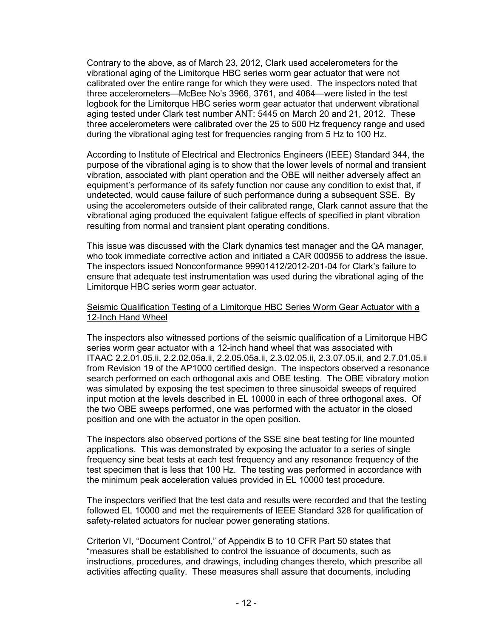Contrary to the above, as of March 23, 2012, Clark used accelerometers for the vibrational aging of the Limitorque HBC series worm gear actuator that were not calibrated over the entire range for which they were used. The inspectors noted that three accelerometers—McBee No's 3966, 3761, and 4064—were listed in the test logbook for the Limitorque HBC series worm gear actuator that underwent vibrational aging tested under Clark test number ANT: 5445 on March 20 and 21, 2012. These three accelerometers were calibrated over the 25 to 500 Hz frequency range and used during the vibrational aging test for frequencies ranging from 5 Hz to 100 Hz.

According to Institute of Electrical and Electronics Engineers (IEEE) Standard 344, the purpose of the vibrational aging is to show that the lower levels of normal and transient vibration, associated with plant operation and the OBE will neither adversely affect an equipment's performance of its safety function nor cause any condition to exist that, if undetected, would cause failure of such performance during a subsequent SSE. By using the accelerometers outside of their calibrated range, Clark cannot assure that the vibrational aging produced the equivalent fatigue effects of specified in plant vibration resulting from normal and transient plant operating conditions.

This issue was discussed with the Clark dynamics test manager and the QA manager, who took immediate corrective action and initiated a CAR 000956 to address the issue. The inspectors issued Nonconformance 99901412/2012-201-04 for Clark's failure to ensure that adequate test instrumentation was used during the vibrational aging of the Limitorque HBC series worm gear actuator.

#### Seismic Qualification Testing of a Limitorque HBC Series Worm Gear Actuator with a 12-Inch Hand Wheel

The inspectors also witnessed portions of the seismic qualification of a Limitorque HBC series worm gear actuator with a 12-inch hand wheel that was associated with ITAAC 2.2.01.05.ii, 2.2.02.05a.ii, 2.2.05.05a.ii, 2.3.02.05.ii, 2.3.07.05.ii, and 2.7.01.05.ii from Revision 19 of the AP1000 certified design. The inspectors observed a resonance search performed on each orthogonal axis and OBE testing. The OBE vibratory motion was simulated by exposing the test specimen to three sinusoidal sweeps of required input motion at the levels described in EL 10000 in each of three orthogonal axes. Of the two OBE sweeps performed, one was performed with the actuator in the closed position and one with the actuator in the open position.

The inspectors also observed portions of the SSE sine beat testing for line mounted applications. This was demonstrated by exposing the actuator to a series of single frequency sine beat tests at each test frequency and any resonance frequency of the test specimen that is less that 100 Hz. The testing was performed in accordance with the minimum peak acceleration values provided in EL 10000 test procedure.

The inspectors verified that the test data and results were recorded and that the testing followed EL 10000 and met the requirements of IEEE Standard 328 for qualification of safety-related actuators for nuclear power generating stations.

Criterion VI, "Document Control," of Appendix B to 10 CFR Part 50 states that "measures shall be established to control the issuance of documents, such as instructions, procedures, and drawings, including changes thereto, which prescribe all activities affecting quality. These measures shall assure that documents, including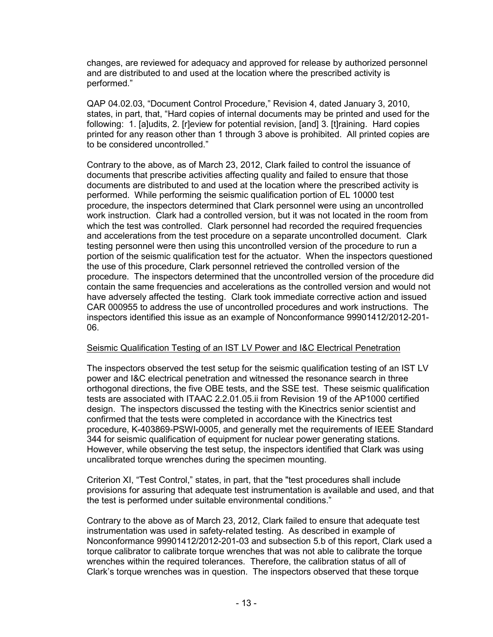changes, are reviewed for adequacy and approved for release by authorized personnel and are distributed to and used at the location where the prescribed activity is performed."

QAP 04.02.03, "Document Control Procedure," Revision 4, dated January 3, 2010, states, in part, that, "Hard copies of internal documents may be printed and used for the following: 1. [a]udits, 2. [r]eview for potential revision, [and] 3. [t]raining. Hard copies printed for any reason other than 1 through 3 above is prohibited. All printed copies are to be considered uncontrolled."

Contrary to the above, as of March 23, 2012, Clark failed to control the issuance of documents that prescribe activities affecting quality and failed to ensure that those documents are distributed to and used at the location where the prescribed activity is performed. While performing the seismic qualification portion of EL 10000 test procedure, the inspectors determined that Clark personnel were using an uncontrolled work instruction. Clark had a controlled version, but it was not located in the room from which the test was controlled. Clark personnel had recorded the required frequencies and accelerations from the test procedure on a separate uncontrolled document. Clark testing personnel were then using this uncontrolled version of the procedure to run a portion of the seismic qualification test for the actuator. When the inspectors questioned the use of this procedure, Clark personnel retrieved the controlled version of the procedure. The inspectors determined that the uncontrolled version of the procedure did contain the same frequencies and accelerations as the controlled version and would not have adversely affected the testing. Clark took immediate corrective action and issued CAR 000955 to address the use of uncontrolled procedures and work instructions. The inspectors identified this issue as an example of Nonconformance 99901412/2012-201- 06.

## Seismic Qualification Testing of an IST LV Power and I&C Electrical Penetration

The inspectors observed the test setup for the seismic qualification testing of an IST LV power and I&C electrical penetration and witnessed the resonance search in three orthogonal directions, the five OBE tests, and the SSE test. These seismic qualification tests are associated with ITAAC 2.2.01.05.ii from Revision 19 of the AP1000 certified design. The inspectors discussed the testing with the Kinectrics senior scientist and confirmed that the tests were completed in accordance with the Kinectrics test procedure, K-403869-PSWI-0005, and generally met the requirements of IEEE Standard 344 for seismic qualification of equipment for nuclear power generating stations. However, while observing the test setup, the inspectors identified that Clark was using uncalibrated torque wrenches during the specimen mounting.

Criterion XI, "Test Control," states, in part, that the "test procedures shall include provisions for assuring that adequate test instrumentation is available and used, and that the test is performed under suitable environmental conditions."

Contrary to the above as of March 23, 2012, Clark failed to ensure that adequate test instrumentation was used in safety-related testing. As described in example of Nonconformance 99901412/2012-201-03 and subsection 5.b of this report, Clark used a torque calibrator to calibrate torque wrenches that was not able to calibrate the torque wrenches within the required tolerances. Therefore, the calibration status of all of Clark's torque wrenches was in question. The inspectors observed that these torque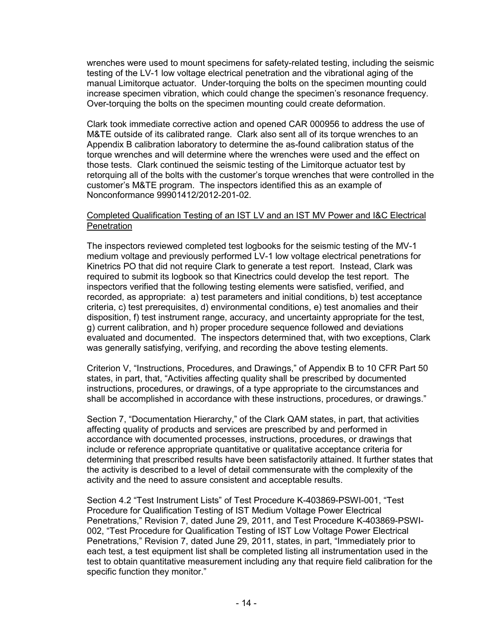wrenches were used to mount specimens for safety-related testing, including the seismic testing of the LV-1 low voltage electrical penetration and the vibrational aging of the manual Limitorque actuator. Under-torquing the bolts on the specimen mounting could increase specimen vibration, which could change the specimen's resonance frequency. Over-torquing the bolts on the specimen mounting could create deformation.

Clark took immediate corrective action and opened CAR 000956 to address the use of M&TE outside of its calibrated range. Clark also sent all of its torque wrenches to an Appendix B calibration laboratory to determine the as-found calibration status of the torque wrenches and will determine where the wrenches were used and the effect on those tests. Clark continued the seismic testing of the Limitorque actuator test by retorquing all of the bolts with the customer's torque wrenches that were controlled in the customer's M&TE program. The inspectors identified this as an example of Nonconformance 99901412/2012-201-02.

#### Completed Qualification Testing of an IST LV and an IST MV Power and I&C Electrical **Penetration**

The inspectors reviewed completed test logbooks for the seismic testing of the MV-1 medium voltage and previously performed LV-1 low voltage electrical penetrations for Kinetrics PO that did not require Clark to generate a test report. Instead, Clark was required to submit its logbook so that Kinectrics could develop the test report. The inspectors verified that the following testing elements were satisfied, verified, and recorded, as appropriate: a) test parameters and initial conditions, b) test acceptance criteria, c) test prerequisites, d) environmental conditions, e) test anomalies and their disposition, f) test instrument range, accuracy, and uncertainty appropriate for the test, g) current calibration, and h) proper procedure sequence followed and deviations evaluated and documented. The inspectors determined that, with two exceptions, Clark was generally satisfying, verifying, and recording the above testing elements.

Criterion V, "Instructions, Procedures, and Drawings," of Appendix B to 10 CFR Part 50 states, in part, that, "Activities affecting quality shall be prescribed by documented instructions, procedures, or drawings, of a type appropriate to the circumstances and shall be accomplished in accordance with these instructions, procedures, or drawings."

Section 7, "Documentation Hierarchy," of the Clark QAM states, in part, that activities affecting quality of products and services are prescribed by and performed in accordance with documented processes, instructions, procedures, or drawings that include or reference appropriate quantitative or qualitative acceptance criteria for determining that prescribed results have been satisfactorily attained. It further states that the activity is described to a level of detail commensurate with the complexity of the activity and the need to assure consistent and acceptable results.

Section 4.2 "Test Instrument Lists" of Test Procedure K-403869-PSWI-001, "Test Procedure for Qualification Testing of IST Medium Voltage Power Electrical Penetrations," Revision 7, dated June 29, 2011, and Test Procedure K-403869-PSWI-002, "Test Procedure for Qualification Testing of IST Low Voltage Power Electrical Penetrations," Revision 7, dated June 29, 2011, states, in part, "Immediately prior to each test, a test equipment list shall be completed listing all instrumentation used in the test to obtain quantitative measurement including any that require field calibration for the specific function they monitor."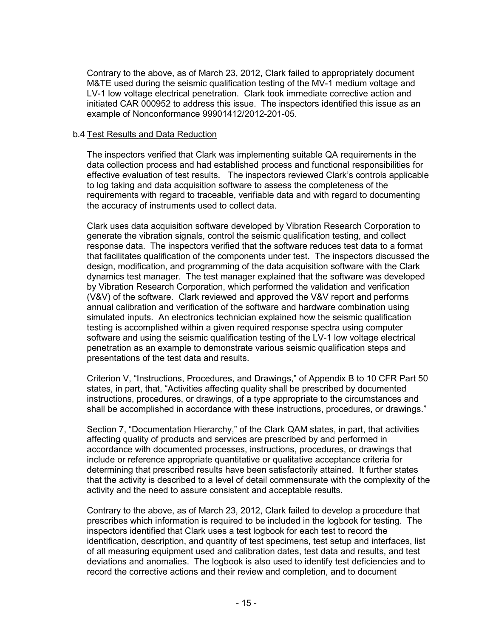Contrary to the above, as of March 23, 2012, Clark failed to appropriately document M&TE used during the seismic qualification testing of the MV-1 medium voltage and LV-1 low voltage electrical penetration. Clark took immediate corrective action and initiated CAR 000952 to address this issue. The inspectors identified this issue as an example of Nonconformance 99901412/2012-201-05.

#### b.4 Test Results and Data Reduction

The inspectors verified that Clark was implementing suitable QA requirements in the data collection process and had established process and functional responsibilities for effective evaluation of test results. The inspectors reviewed Clark's controls applicable to log taking and data acquisition software to assess the completeness of the requirements with regard to traceable, verifiable data and with regard to documenting the accuracy of instruments used to collect data.

Clark uses data acquisition software developed by Vibration Research Corporation to generate the vibration signals, control the seismic qualification testing, and collect response data. The inspectors verified that the software reduces test data to a format that facilitates qualification of the components under test. The inspectors discussed the design, modification, and programming of the data acquisition software with the Clark dynamics test manager. The test manager explained that the software was developed by Vibration Research Corporation, which performed the validation and verification (V&V) of the software. Clark reviewed and approved the V&V report and performs annual calibration and verification of the software and hardware combination using simulated inputs. An electronics technician explained how the seismic qualification testing is accomplished within a given required response spectra using computer software and using the seismic qualification testing of the LV-1 low voltage electrical penetration as an example to demonstrate various seismic qualification steps and presentations of the test data and results.

Criterion V, "Instructions, Procedures, and Drawings," of Appendix B to 10 CFR Part 50 states, in part, that, "Activities affecting quality shall be prescribed by documented instructions, procedures, or drawings, of a type appropriate to the circumstances and shall be accomplished in accordance with these instructions, procedures, or drawings."

Section 7, "Documentation Hierarchy," of the Clark QAM states, in part, that activities affecting quality of products and services are prescribed by and performed in accordance with documented processes, instructions, procedures, or drawings that include or reference appropriate quantitative or qualitative acceptance criteria for determining that prescribed results have been satisfactorily attained. It further states that the activity is described to a level of detail commensurate with the complexity of the activity and the need to assure consistent and acceptable results.

Contrary to the above, as of March 23, 2012, Clark failed to develop a procedure that prescribes which information is required to be included in the logbook for testing. The inspectors identified that Clark uses a test logbook for each test to record the identification, description, and quantity of test specimens, test setup and interfaces, list of all measuring equipment used and calibration dates, test data and results, and test deviations and anomalies. The logbook is also used to identify test deficiencies and to record the corrective actions and their review and completion, and to document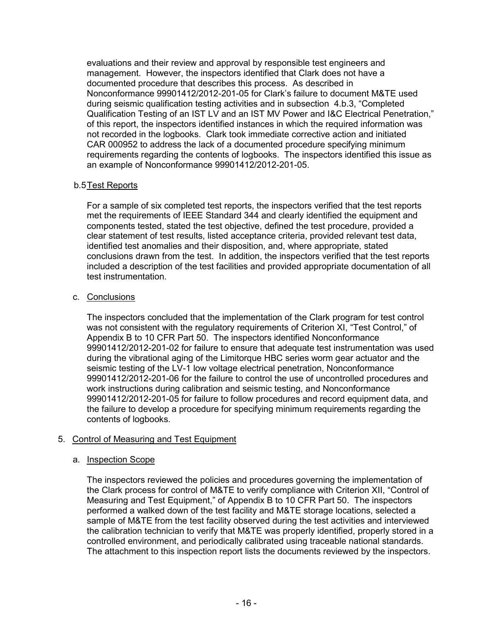evaluations and their review and approval by responsible test engineers and management. However, the inspectors identified that Clark does not have a documented procedure that describes this process. As described in Nonconformance 99901412/2012-201-05 for Clark's failure to document M&TE used during seismic qualification testing activities and in subsection 4.b.3, "Completed Qualification Testing of an IST LV and an IST MV Power and I&C Electrical Penetration," of this report, the inspectors identified instances in which the required information was not recorded in the logbooks. Clark took immediate corrective action and initiated CAR 000952 to address the lack of a documented procedure specifying minimum requirements regarding the contents of logbooks. The inspectors identified this issue as an example of Nonconformance 99901412/2012-201-05.

## b.5 Test Reports

For a sample of six completed test reports, the inspectors verified that the test reports met the requirements of IEEE Standard 344 and clearly identified the equipment and components tested, stated the test objective, defined the test procedure, provided a clear statement of test results, listed acceptance criteria, provided relevant test data, identified test anomalies and their disposition, and, where appropriate, stated conclusions drawn from the test. In addition, the inspectors verified that the test reports included a description of the test facilities and provided appropriate documentation of all test instrumentation.

## c. Conclusions

The inspectors concluded that the implementation of the Clark program for test control was not consistent with the regulatory requirements of Criterion XI, "Test Control," of Appendix B to 10 CFR Part 50. The inspectors identified Nonconformance 99901412/2012-201-02 for failure to ensure that adequate test instrumentation was used during the vibrational aging of the Limitorque HBC series worm gear actuator and the seismic testing of the LV-1 low voltage electrical penetration, Nonconformance 99901412/2012-201-06 for the failure to control the use of uncontrolled procedures and work instructions during calibration and seismic testing, and Nonconformance 99901412/2012-201-05 for failure to follow procedures and record equipment data, and the failure to develop a procedure for specifying minimum requirements regarding the contents of logbooks.

# 5. Control of Measuring and Test Equipment

## a. Inspection Scope

The inspectors reviewed the policies and procedures governing the implementation of the Clark process for control of M&TE to verify compliance with Criterion XII, "Control of Measuring and Test Equipment," of Appendix B to 10 CFR Part 50. The inspectors performed a walked down of the test facility and M&TE storage locations, selected a sample of M&TE from the test facility observed during the test activities and interviewed the calibration technician to verify that M&TE was properly identified, properly stored in a controlled environment, and periodically calibrated using traceable national standards. The attachment to this inspection report lists the documents reviewed by the inspectors.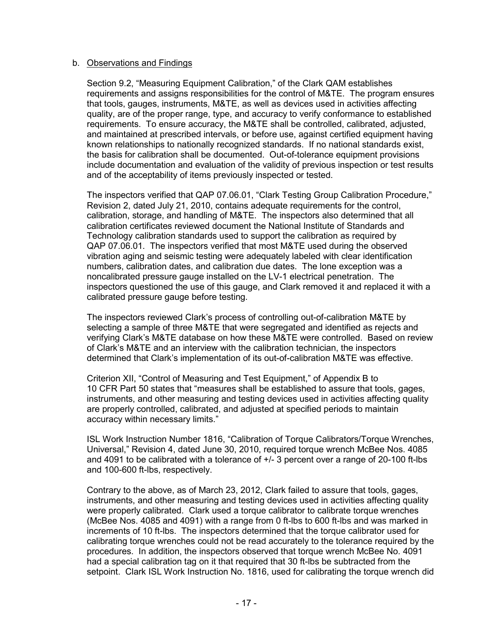#### b. Observations and Findings

Section 9.2, "Measuring Equipment Calibration," of the Clark QAM establishes requirements and assigns responsibilities for the control of M&TE. The program ensures that tools, gauges, instruments, M&TE, as well as devices used in activities affecting quality, are of the proper range, type, and accuracy to verify conformance to established requirements. To ensure accuracy, the M&TE shall be controlled, calibrated, adjusted, and maintained at prescribed intervals, or before use, against certified equipment having known relationships to nationally recognized standards. If no national standards exist, the basis for calibration shall be documented. Out-of-tolerance equipment provisions include documentation and evaluation of the validity of previous inspection or test results and of the acceptability of items previously inspected or tested.

The inspectors verified that QAP 07.06.01, "Clark Testing Group Calibration Procedure," Revision 2, dated July 21, 2010, contains adequate requirements for the control, calibration, storage, and handling of M&TE. The inspectors also determined that all calibration certificates reviewed document the National Institute of Standards and Technology calibration standards used to support the calibration as required by QAP 07.06.01. The inspectors verified that most M&TE used during the observed vibration aging and seismic testing were adequately labeled with clear identification numbers, calibration dates, and calibration due dates. The lone exception was a noncalibrated pressure gauge installed on the LV-1 electrical penetration. The inspectors questioned the use of this gauge, and Clark removed it and replaced it with a calibrated pressure gauge before testing.

The inspectors reviewed Clark's process of controlling out-of-calibration M&TE by selecting a sample of three M&TE that were segregated and identified as rejects and verifying Clark's M&TE database on how these M&TE were controlled. Based on review of Clark's M&TE and an interview with the calibration technician, the inspectors determined that Clark's implementation of its out-of-calibration M&TE was effective.

Criterion XII, "Control of Measuring and Test Equipment," of Appendix B to 10 CFR Part 50 states that "measures shall be established to assure that tools, gages, instruments, and other measuring and testing devices used in activities affecting quality are properly controlled, calibrated, and adjusted at specified periods to maintain accuracy within necessary limits."

ISL Work Instruction Number 1816, "Calibration of Torque Calibrators/Torque Wrenches, Universal," Revision 4, dated June 30, 2010, required torque wrench McBee Nos. 4085 and 4091 to be calibrated with a tolerance of +/- 3 percent over a range of 20-100 ft-lbs and 100-600 ft-lbs, respectively.

Contrary to the above, as of March 23, 2012, Clark failed to assure that tools, gages, instruments, and other measuring and testing devices used in activities affecting quality were properly calibrated. Clark used a torque calibrator to calibrate torque wrenches (McBee Nos. 4085 and 4091) with a range from 0 ft-lbs to 600 ft-lbs and was marked in increments of 10 ft-lbs. The inspectors determined that the torque calibrator used for calibrating torque wrenches could not be read accurately to the tolerance required by the procedures. In addition, the inspectors observed that torque wrench McBee No. 4091 had a special calibration tag on it that required that 30 ft-lbs be subtracted from the setpoint. Clark ISL Work Instruction No. 1816, used for calibrating the torque wrench did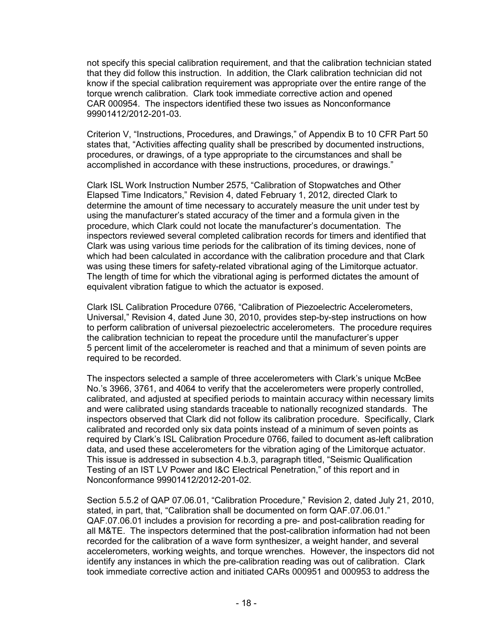not specify this special calibration requirement, and that the calibration technician stated that they did follow this instruction. In addition, the Clark calibration technician did not know if the special calibration requirement was appropriate over the entire range of the torque wrench calibration. Clark took immediate corrective action and opened CAR 000954. The inspectors identified these two issues as Nonconformance 99901412/2012-201-03.

Criterion V, "Instructions, Procedures, and Drawings," of Appendix B to 10 CFR Part 50 states that, "Activities affecting quality shall be prescribed by documented instructions, procedures, or drawings, of a type appropriate to the circumstances and shall be accomplished in accordance with these instructions, procedures, or drawings."

Clark ISL Work Instruction Number 2575, "Calibration of Stopwatches and Other Elapsed Time Indicators," Revision 4, dated February 1, 2012, directed Clark to determine the amount of time necessary to accurately measure the unit under test by using the manufacturer's stated accuracy of the timer and a formula given in the procedure, which Clark could not locate the manufacturer's documentation. The inspectors reviewed several completed calibration records for timers and identified that Clark was using various time periods for the calibration of its timing devices, none of which had been calculated in accordance with the calibration procedure and that Clark was using these timers for safety-related vibrational aging of the Limitorque actuator. The length of time for which the vibrational aging is performed dictates the amount of equivalent vibration fatigue to which the actuator is exposed.

Clark ISL Calibration Procedure 0766, "Calibration of Piezoelectric Accelerometers, Universal," Revision 4, dated June 30, 2010, provides step-by-step instructions on how to perform calibration of universal piezoelectric accelerometers. The procedure requires the calibration technician to repeat the procedure until the manufacturer's upper 5 percent limit of the accelerometer is reached and that a minimum of seven points are required to be recorded.

The inspectors selected a sample of three accelerometers with Clark's unique McBee No.'s 3966, 3761, and 4064 to verify that the accelerometers were properly controlled, calibrated, and adjusted at specified periods to maintain accuracy within necessary limits and were calibrated using standards traceable to nationally recognized standards. The inspectors observed that Clark did not follow its calibration procedure. Specifically, Clark calibrated and recorded only six data points instead of a minimum of seven points as required by Clark's ISL Calibration Procedure 0766, failed to document as-left calibration data, and used these accelerometers for the vibration aging of the Limitorque actuator. This issue is addressed in subsection 4.b.3, paragraph titled, "Seismic Qualification Testing of an IST LV Power and I&C Electrical Penetration," of this report and in Nonconformance 99901412/2012-201-02.

Section 5.5.2 of QAP 07.06.01, "Calibration Procedure," Revision 2, dated July 21, 2010, stated, in part, that, "Calibration shall be documented on form QAF.07.06.01." QAF.07.06.01 includes a provision for recording a pre- and post-calibration reading for all M&TE. The inspectors determined that the post-calibration information had not been recorded for the calibration of a wave form synthesizer, a weight hander, and several accelerometers, working weights, and torque wrenches. However, the inspectors did not identify any instances in which the pre-calibration reading was out of calibration. Clark took immediate corrective action and initiated CARs 000951 and 000953 to address the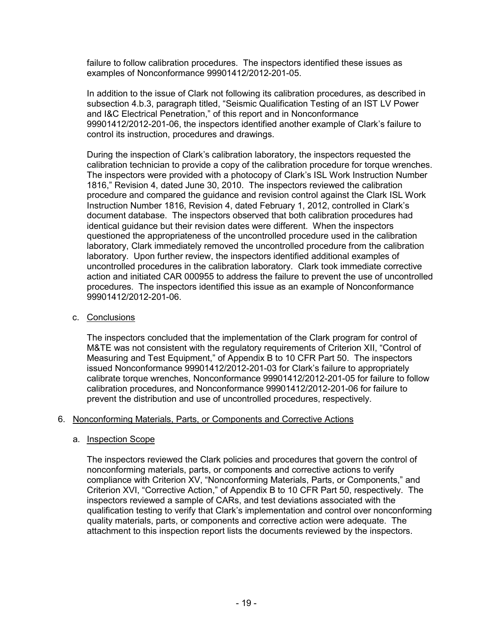failure to follow calibration procedures. The inspectors identified these issues as examples of Nonconformance 99901412/2012-201-05.

In addition to the issue of Clark not following its calibration procedures, as described in subsection 4.b.3, paragraph titled, "Seismic Qualification Testing of an IST LV Power and I&C Electrical Penetration," of this report and in Nonconformance 99901412/2012-201-06, the inspectors identified another example of Clark's failure to control its instruction, procedures and drawings.

During the inspection of Clark's calibration laboratory, the inspectors requested the calibration technician to provide a copy of the calibration procedure for torque wrenches. The inspectors were provided with a photocopy of Clark's ISL Work Instruction Number 1816," Revision 4, dated June 30, 2010. The inspectors reviewed the calibration procedure and compared the guidance and revision control against the Clark ISL Work Instruction Number 1816, Revision 4, dated February 1, 2012, controlled in Clark's document database. The inspectors observed that both calibration procedures had identical guidance but their revision dates were different. When the inspectors questioned the appropriateness of the uncontrolled procedure used in the calibration laboratory, Clark immediately removed the uncontrolled procedure from the calibration laboratory. Upon further review, the inspectors identified additional examples of uncontrolled procedures in the calibration laboratory. Clark took immediate corrective action and initiated CAR 000955 to address the failure to prevent the use of uncontrolled procedures. The inspectors identified this issue as an example of Nonconformance 99901412/2012-201-06.

c. Conclusions

The inspectors concluded that the implementation of the Clark program for control of M&TE was not consistent with the regulatory requirements of Criterion XII, "Control of Measuring and Test Equipment," of Appendix B to 10 CFR Part 50. The inspectors issued Nonconformance 99901412/2012-201-03 for Clark's failure to appropriately calibrate torque wrenches, Nonconformance 99901412/2012-201-05 for failure to follow calibration procedures, and Nonconformance 99901412/2012-201-06 for failure to prevent the distribution and use of uncontrolled procedures, respectively.

## 6. Nonconforming Materials, Parts, or Components and Corrective Actions

#### a. Inspection Scope

The inspectors reviewed the Clark policies and procedures that govern the control of nonconforming materials, parts, or components and corrective actions to verify compliance with Criterion XV, "Nonconforming Materials, Parts, or Components," and Criterion XVI, "Corrective Action," of Appendix B to 10 CFR Part 50, respectively. The inspectors reviewed a sample of CARs, and test deviations associated with the qualification testing to verify that Clark's implementation and control over nonconforming quality materials, parts, or components and corrective action were adequate. The attachment to this inspection report lists the documents reviewed by the inspectors.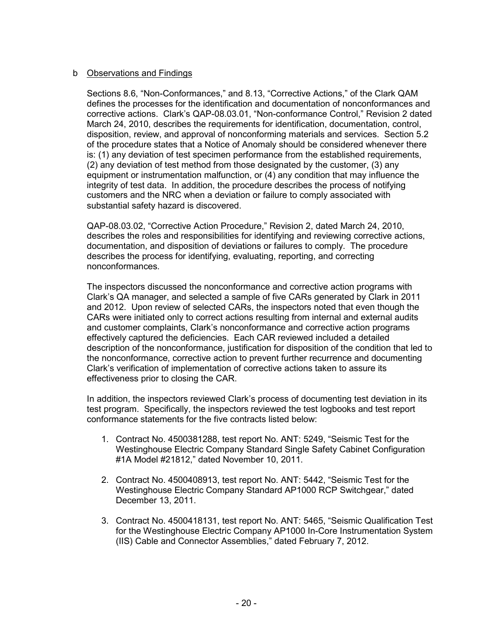## b Observations and Findings

Sections 8.6, "Non-Conformances," and 8.13, "Corrective Actions," of the Clark QAM defines the processes for the identification and documentation of nonconformances and corrective actions. Clark's QAP-08.03.01, "Non-conformance Control," Revision 2 dated March 24, 2010, describes the requirements for identification, documentation, control, disposition, review, and approval of nonconforming materials and services. Section 5.2 of the procedure states that a Notice of Anomaly should be considered whenever there is: (1) any deviation of test specimen performance from the established requirements, (2) any deviation of test method from those designated by the customer, (3) any equipment or instrumentation malfunction, or (4) any condition that may influence the integrity of test data. In addition, the procedure describes the process of notifying customers and the NRC when a deviation or failure to comply associated with substantial safety hazard is discovered.

QAP-08.03.02, "Corrective Action Procedure," Revision 2, dated March 24, 2010, describes the roles and responsibilities for identifying and reviewing corrective actions, documentation, and disposition of deviations or failures to comply. The procedure describes the process for identifying, evaluating, reporting, and correcting nonconformances.

The inspectors discussed the nonconformance and corrective action programs with Clark's QA manager, and selected a sample of five CARs generated by Clark in 2011 and 2012. Upon review of selected CARs, the inspectors noted that even though the CARs were initiated only to correct actions resulting from internal and external audits and customer complaints, Clark's nonconformance and corrective action programs effectively captured the deficiencies. Each CAR reviewed included a detailed description of the nonconformance, justification for disposition of the condition that led to the nonconformance, corrective action to prevent further recurrence and documenting Clark's verification of implementation of corrective actions taken to assure its effectiveness prior to closing the CAR.

In addition, the inspectors reviewed Clark's process of documenting test deviation in its test program. Specifically, the inspectors reviewed the test logbooks and test report conformance statements for the five contracts listed below:

- 1. Contract No. 4500381288, test report No. ANT: 5249, "Seismic Test for the Westinghouse Electric Company Standard Single Safety Cabinet Configuration #1A Model #21812," dated November 10, 2011.
- 2. Contract No. 4500408913, test report No. ANT: 5442, "Seismic Test for the Westinghouse Electric Company Standard AP1000 RCP Switchgear," dated December 13, 2011.
- 3. Contract No. 4500418131, test report No. ANT: 5465, "Seismic Qualification Test for the Westinghouse Electric Company AP1000 In-Core Instrumentation System (IIS) Cable and Connector Assemblies," dated February 7, 2012.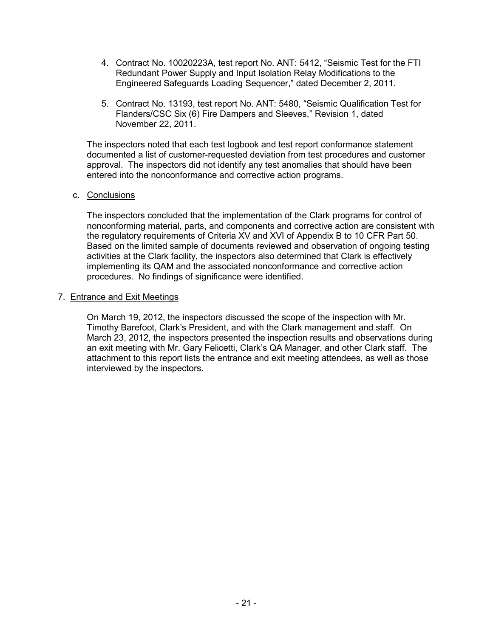- 4. Contract No. 10020223A, test report No. ANT: 5412, "Seismic Test for the FTI Redundant Power Supply and Input Isolation Relay Modifications to the Engineered Safeguards Loading Sequencer," dated December 2, 2011.
- 5. Contract No. 13193, test report No. ANT: 5480, "Seismic Qualification Test for Flanders/CSC Six (6) Fire Dampers and Sleeves," Revision 1, dated November 22, 2011.

The inspectors noted that each test logbook and test report conformance statement documented a list of customer-requested deviation from test procedures and customer approval. The inspectors did not identify any test anomalies that should have been entered into the nonconformance and corrective action programs.

## c. Conclusions

The inspectors concluded that the implementation of the Clark programs for control of nonconforming material, parts, and components and corrective action are consistent with the regulatory requirements of Criteria XV and XVI of Appendix B to 10 CFR Part 50. Based on the limited sample of documents reviewed and observation of ongoing testing activities at the Clark facility, the inspectors also determined that Clark is effectively implementing its QAM and the associated nonconformance and corrective action procedures. No findings of significance were identified.

#### 7. Entrance and Exit Meetings

On March 19, 2012, the inspectors discussed the scope of the inspection with Mr. Timothy Barefoot, Clark's President, and with the Clark management and staff. On March 23, 2012, the inspectors presented the inspection results and observations during an exit meeting with Mr. Gary Felicetti, Clark's QA Manager, and other Clark staff. The attachment to this report lists the entrance and exit meeting attendees, as well as those interviewed by the inspectors.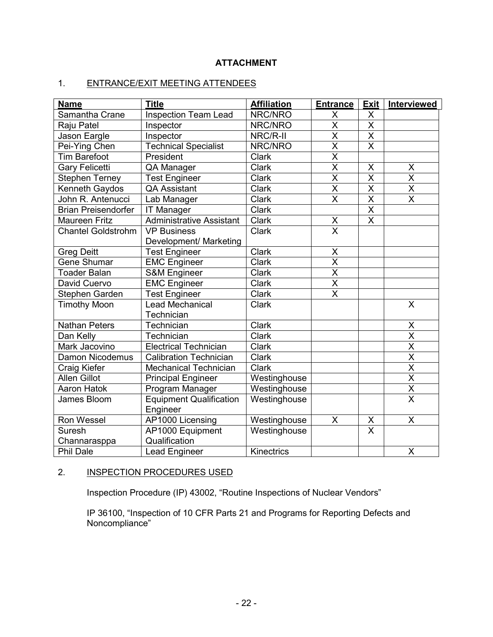# **ATTACHMENT**

# 1. ENTRANCE/EXIT MEETING ATTENDEES

| <b>Name</b>                | <b>Title</b>                               | <b>Affiliation</b> | <b>Entrance</b>         | <b>Exit</b>             | Interviewed             |
|----------------------------|--------------------------------------------|--------------------|-------------------------|-------------------------|-------------------------|
| Samantha Crane             | <b>Inspection Team Lead</b>                | NRC/NRO            | X                       | X                       |                         |
| Raju Patel                 | Inspector                                  | NRC/NRO            | $\overline{\mathsf{X}}$ | $\overline{\mathsf{X}}$ |                         |
| Jason Eargle               | Inspector                                  | NRC/R-II           | X                       | $\pmb{\mathsf{X}}$      |                         |
| Pei-Ying Chen              | <b>Technical Specialist</b>                | NRC/NRO            | $\overline{\mathsf{x}}$ | $\overline{\mathsf{x}}$ |                         |
| <b>Tim Barefoot</b>        | President                                  | <b>Clark</b>       | $\overline{\mathsf{x}}$ |                         |                         |
| <b>Gary Felicetti</b>      | QA Manager                                 | <b>Clark</b>       | $\overline{\mathsf{x}}$ | $\pmb{\mathsf{X}}$      | $\mathsf X$             |
| <b>Stephen Terney</b>      | <b>Test Engineer</b>                       | <b>Clark</b>       | $\overline{\mathsf{x}}$ | $\overline{\mathsf{x}}$ | $\overline{\mathsf{x}}$ |
| Kenneth Gaydos             | <b>QA Assistant</b>                        | <b>Clark</b>       | $\overline{\mathsf{X}}$ | $\overline{\mathsf{X}}$ | $\overline{\mathsf{X}}$ |
| John R. Antenucci          | Lab Manager                                | <b>Clark</b>       | $\overline{\mathsf{x}}$ | $\overline{\mathsf{x}}$ | $\overline{\mathsf{x}}$ |
| <b>Brian Preisendorfer</b> | <b>IT Manager</b>                          | <b>Clark</b>       |                         | $\overline{\mathsf{X}}$ |                         |
| <b>Maureen Fritz</b>       | <b>Administrative Assistant</b>            | <b>Clark</b>       | X                       | $\overline{\mathsf{x}}$ |                         |
| <b>Chantel Goldstrohm</b>  | <b>VP Business</b>                         | <b>Clark</b>       | $\overline{\mathsf{x}}$ |                         |                         |
|                            | Development/ Marketing                     |                    |                         |                         |                         |
| <b>Greg Deitt</b>          | <b>Test Engineer</b>                       | <b>Clark</b>       | X                       |                         |                         |
| Gene Shumar                | <b>EMC</b> Engineer                        | <b>Clark</b>       | $\overline{\mathsf{x}}$ |                         |                         |
| <b>Toader Balan</b>        | <b>S&amp;M Engineer</b>                    | <b>Clark</b>       | $\overline{\mathsf{x}}$ |                         |                         |
| David Cuervo               | <b>EMC</b> Engineer                        | <b>Clark</b>       | $\overline{\mathsf{x}}$ |                         |                         |
| Stephen Garden             | <b>Test Engineer</b>                       | <b>Clark</b>       | $\overline{\mathsf{x}}$ |                         |                         |
| <b>Timothy Moon</b>        | Lead Mechanical                            | <b>Clark</b>       |                         |                         | X                       |
|                            | Technician                                 |                    |                         |                         |                         |
| <b>Nathan Peters</b>       | Technician                                 | <b>Clark</b>       |                         |                         | X                       |
| Dan Kelly                  | Technician                                 | <b>Clark</b>       |                         |                         | $\overline{\mathsf{X}}$ |
| Mark Jacovino              | <b>Electrical Technician</b>               | Clark              |                         |                         | $\overline{\mathsf{x}}$ |
| <b>Damon Nicodemus</b>     | <b>Calibration Technician</b>              | Clark              |                         |                         | $\overline{\mathsf{x}}$ |
| Craig Kiefer               | <b>Mechanical Technician</b>               | Clark              |                         |                         | $\overline{\mathsf{x}}$ |
| <b>Allen Gillot</b>        | <b>Principal Engineer</b>                  | Westinghouse       |                         |                         | $\overline{\mathsf{x}}$ |
| Aaron Hatok                | Program Manager                            | Westinghouse       |                         |                         | $\overline{\mathsf{x}}$ |
| James Bloom                | <b>Equipment Qualification</b><br>Engineer | Westinghouse       |                         |                         | $\overline{\mathsf{x}}$ |
| Ron Wessel                 | AP1000 Licensing                           | Westinghouse       | X                       | $\mathsf X$             | $\overline{X}$          |
| <b>Suresh</b>              | AP1000 Equipment                           | Westinghouse       |                         | $\overline{\mathsf{x}}$ |                         |
| Channarasppa               | Qualification                              |                    |                         |                         |                         |
| <b>Phil Dale</b>           | Lead Engineer                              | <b>Kinectrics</b>  |                         |                         | X                       |

## 2. INSPECTION PROCEDURES USED

Inspection Procedure (IP) 43002, "Routine Inspections of Nuclear Vendors"

IP 36100, "Inspection of 10 CFR Parts 21 and Programs for Reporting Defects and Noncompliance"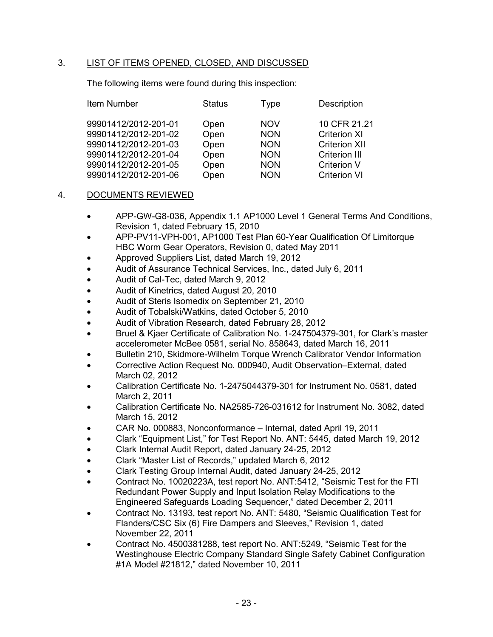# 3. LIST OF ITEMS OPENED, CLOSED, AND DISCUSSED

The following items were found during this inspection:

| Item Number<br>Status<br>Type              | Description          |
|--------------------------------------------|----------------------|
| 99901412/2012-201-01<br><b>NOV</b><br>Open | 10 CFR 21.21         |
| Open<br>99901412/2012-201-02<br><b>NON</b> | <b>Criterion XI</b>  |
| 99901412/2012-201-03<br>Open<br><b>NON</b> | <b>Criterion XII</b> |
| 99901412/2012-201-04<br>Open<br><b>NON</b> | <b>Criterion III</b> |
| 99901412/2012-201-05<br>Open<br><b>NON</b> | <b>Criterion V</b>   |
| 99901412/2012-201-06<br>Open<br><b>NON</b> | <b>Criterion VI</b>  |

## 4. DOCUMENTS REVIEWED

- APP-GW-G8-036, Appendix 1.1 AP1000 Level 1 General Terms And Conditions, Revision 1, dated February 15, 2010
- APP-PV11-VPH-001, AP1000 Test Plan 60-Year Qualification Of Limitorque HBC Worm Gear Operators, Revision 0, dated May 2011
- Approved Suppliers List, dated March 19, 2012
- Audit of Assurance Technical Services, Inc., dated July 6, 2011
- Audit of Cal-Tec, dated March 9, 2012
- Audit of Kinetrics, dated August 20, 2010
- Audit of Steris Isomedix on September 21, 2010
- Audit of Tobalski/Watkins, dated October 5, 2010
- Audit of Vibration Research, dated February 28, 2012
- Bruel & Kjaer Certificate of Calibration No. 1-247504379-301, for Clark's master accelerometer McBee 0581, serial No. 858643, dated March 16, 2011
- Bulletin 210, Skidmore-Wilhelm Torque Wrench Calibrator Vendor Information
- Corrective Action Request No. 000940, Audit Observation–External, dated March 02, 2012
- Calibration Certificate No. 1-2475044379-301 for Instrument No. 0581, dated March 2, 2011
- Calibration Certificate No. NA2585-726-031612 for Instrument No. 3082, dated March 15, 2012
- CAR No. 000883, Nonconformance Internal, dated April 19, 2011
- Clark "Equipment List," for Test Report No. ANT: 5445, dated March 19, 2012
- Clark Internal Audit Report, dated January 24-25, 2012
- Clark "Master List of Records," updated March 6, 2012
- Clark Testing Group Internal Audit, dated January 24-25, 2012
- Contract No. 10020223A, test report No. ANT:5412, "Seismic Test for the FTI Redundant Power Supply and Input Isolation Relay Modifications to the Engineered Safeguards Loading Sequencer," dated December 2, 2011
- Contract No. 13193, test report No. ANT: 5480, "Seismic Qualification Test for Flanders/CSC Six (6) Fire Dampers and Sleeves," Revision 1, dated November 22, 2011
- Contract No. 4500381288, test report No. ANT:5249, "Seismic Test for the Westinghouse Electric Company Standard Single Safety Cabinet Configuration #1A Model #21812," dated November 10, 2011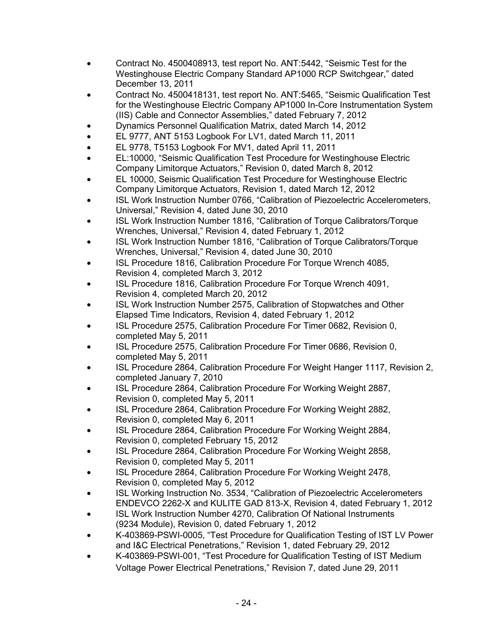- Contract No. 4500408913, test report No. ANT:5442, "Seismic Test for the Westinghouse Electric Company Standard AP1000 RCP Switchgear," dated December 13, 2011
- Contract No. 4500418131, test report No. ANT:5465, "Seismic Qualification Test for the Westinghouse Electric Company AP1000 In-Core Instrumentation System (IIS) Cable and Connector Assemblies," dated February 7, 2012
- Dynamics Personnel Qualification Matrix, dated March 14, 2012
- EL 9777, ANT 5153 Logbook For LV1, dated March 11, 2011
- EL 9778, T5153 Logbook For MV1, dated April 11, 2011
- EL:10000, "Seismic Qualification Test Procedure for Westinghouse Electric Company Limitorque Actuators," Revision 0, dated March 8, 2012
- EL 10000, Seismic Qualification Test Procedure for Westinghouse Electric Company Limitorque Actuators, Revision 1, dated March 12, 2012
- ISL Work Instruction Number 0766, "Calibration of Piezoelectric Accelerometers, Universal," Revision 4, dated June 30, 2010
- ISL Work Instruction Number 1816, "Calibration of Torque Calibrators/Torque Wrenches, Universal," Revision 4, dated February 1, 2012
- ISL Work Instruction Number 1816, "Calibration of Torque Calibrators/Torque Wrenches, Universal," Revision 4, dated June 30, 2010
- ISL Procedure 1816, Calibration Procedure For Torque Wrench 4085, Revision 4, completed March 3, 2012
- ISL Procedure 1816, Calibration Procedure For Torque Wrench 4091, Revision 4, completed March 20, 2012
- ISL Work Instruction Number 2575, Calibration of Stopwatches and Other Elapsed Time Indicators, Revision 4, dated February 1, 2012
- ISL Procedure 2575, Calibration Procedure For Timer 0682, Revision 0, completed May 5, 2011
- ISL Procedure 2575, Calibration Procedure For Timer 0686, Revision 0, completed May 5, 2011
- ISL Procedure 2864, Calibration Procedure For Weight Hanger 1117, Revision 2, completed January 7, 2010
- ISL Procedure 2864, Calibration Procedure For Working Weight 2887, Revision 0, completed May 5, 2011
- ISL Procedure 2864, Calibration Procedure For Working Weight 2882, Revision 0, completed May 6, 2011
- ISL Procedure 2864, Calibration Procedure For Working Weight 2884, Revision 0, completed February 15, 2012
- ISL Procedure 2864, Calibration Procedure For Working Weight 2858, Revision 0, completed May 5, 2011
- ISL Procedure 2864, Calibration Procedure For Working Weight 2478, Revision 0, completed May 5, 2012
- ISL Working Instruction No. 3534, "Calibration of Piezoelectric Accelerometers ENDEVCO 2262-X and KULITE GAD 813-X, Revision 4, dated February 1, 2012
- ISL Work Instruction Number 4270, Calibration Of National Instruments (9234 Module), Revision 0, dated February 1, 2012
- K-403869-PSWI-0005, "Test Procedure for Qualification Testing of IST LV Power and I&C Electrical Penetrations," Revision 1, dated February 29, 2012
- K-403869-PSWI-001, "Test Procedure for Qualification Testing of IST Medium Voltage Power Electrical Penetrations," Revision 7, dated June 29, 2011